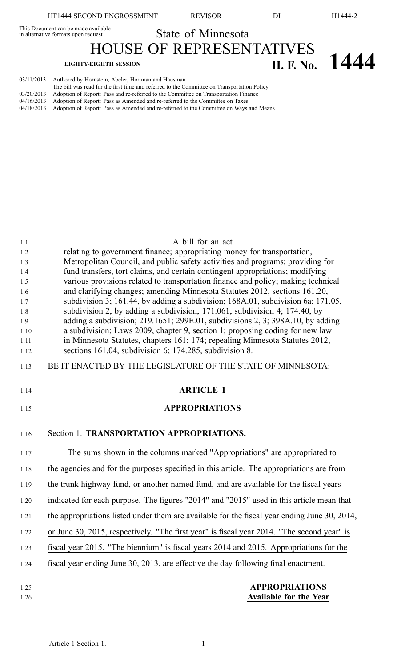This Document can be made available<br>in alternative formats upon request

State of Minnesota

HOUSE OF REPRESENTATIVES **EIGHTY-EIGHTH SESSION H. F. No. 1444**

| 03/11/2013 | Authored by Hornstein, Abeler, Hortman and Hausman                                                |
|------------|---------------------------------------------------------------------------------------------------|
|            | The bill was read for the first time and referred to the Committee on Transportation Policy       |
|            | $03/20/2013$ Adoption of Report: Pass and re-referred to the Committee on Transportation Finance  |
|            | $04/16/2013$ Adoption of Report: Pass as Amended and re-referred to the Committee on Taxes        |
|            | 04/18/2013 Adoption of Report: Pass as Amended and re-referred to the Committee on Ways and Means |

| 1.1  | A bill for an act                                                                            |
|------|----------------------------------------------------------------------------------------------|
| 1.2  | relating to government finance; appropriating money for transportation,                      |
| 1.3  | Metropolitan Council, and public safety activities and programs; providing for               |
| 1.4  | fund transfers, tort claims, and certain contingent appropriations; modifying                |
| 1.5  | various provisions related to transportation finance and policy; making technical            |
| 1.6  | and clarifying changes; amending Minnesota Statutes 2012, sections 161.20,                   |
| 1.7  | subdivision 3; 161.44, by adding a subdivision; 168A.01, subdivision 6a; 171.05,             |
| 1.8  | subdivision 2, by adding a subdivision; 171.061, subdivision 4; 174.40, by                   |
| 1.9  | adding a subdivision; $219.1651$ ; $299E.01$ , subdivisions 2, 3; $398A.10$ , by adding      |
| 1.10 | a subdivision; Laws 2009, chapter 9, section 1; proposing coding for new law                 |
| 1.11 | in Minnesota Statutes, chapters 161; 174; repealing Minnesota Statutes 2012,                 |
| 1.12 | sections 161.04, subdivision 6; 174.285, subdivision 8.                                      |
| 1.13 | BE IT ENACTED BY THE LEGISLATURE OF THE STATE OF MINNESOTA:                                  |
| 1.14 | <b>ARTICLE 1</b>                                                                             |
| 1.15 | <b>APPROPRIATIONS</b>                                                                        |
|      |                                                                                              |
| 1.16 | Section 1. TRANSPORTATION APPROPRIATIONS.                                                    |
| 1.17 | The sums shown in the columns marked "Appropriations" are appropriated to                    |
| 1.18 | the agencies and for the purposes specified in this article. The appropriations are from     |
| 1.19 | the trunk highway fund, or another named fund, and are available for the fiscal years        |
| 1.20 | indicated for each purpose. The figures "2014" and "2015" used in this article mean that     |
| 1.21 | the appropriations listed under them are available for the fiscal year ending June 30, 2014, |
| 1.22 | or June 30, 2015, respectively. "The first year" is fiscal year 2014. "The second year" is   |
| 1.23 | fiscal year 2015. "The biennium" is fiscal years 2014 and 2015. Appropriations for the       |
| 1.24 | fiscal year ending June 30, 2013, are effective the day following final enactment.           |
| 1.25 | <b>APPROPRIATIONS</b>                                                                        |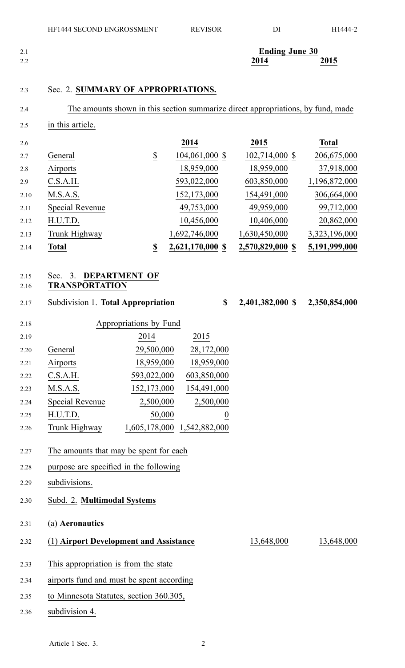| 2.1 | <b>Ending June 30</b> |                 |
|-----|-----------------------|-----------------|
| 2.2 | 2014                  | 2015<br>_______ |

## 2.3 Sec. 2. **SUMMARY OF APPROPRIATIONS.**

2.5 in this article.

| 2.6  |                 |                       | 2014             | 2015             | <b>Total</b>  |
|------|-----------------|-----------------------|------------------|------------------|---------------|
| 2.7  | General         | $\overline{\partial}$ | 104,061,000 \$   | 102,714,000 \$   | 206,675,000   |
| 2.8  | Airports        |                       | 18,959,000       | 18,959,000       | 37,918,000    |
| 2.9  | C.S.A.H.        |                       | 593,022,000      | 603,850,000      | 1,196,872,000 |
| 2.10 | M.S.A.S.        |                       | 152,173,000      | 154,491,000      | 306,664,000   |
| 2.11 | Special Revenue |                       | 49,753,000       | 49,959,000       | 99,712,000    |
| 2.12 | H.U.T.D.        |                       | 10,456,000       | 10,406,000       | 20,862,000    |
| 2.13 | Trunk Highway   |                       | 1,692,746,000    | 1,630,450,000    | 3,323,196,000 |
| 2.14 | Total           | \$                    | 2,621,170,000 \$ | 2,570,829,000 \$ | 5,191,999,000 |

## 2.15 Sec. 3. **DEPARTMENT OF**

## 2.16 **TRANSPORTATION**

2.17 Subdivision 1. **Total Appropriation \$ 2,401,382,000 \$ 2,350,854,000**

| 2.18 |                 | Appropriations by Fund |             |
|------|-----------------|------------------------|-------------|
| 2.19 |                 | 2014                   | 2015        |
| 2.20 | General         | 29,500,000             | 28,172,000  |
| 2.21 | Airports        | 18,959,000             | 18,959,000  |
| 2.22 | C.S.A.H.        | 593,022,000            | 603,850,000 |
| 2.23 | M.S.A.S.        | 152,173,000            | 154,491,000 |
| 2.24 | Special Revenue | 2,500,000              | 2,500,000   |
| 2.25 | H.U.T.D.        | 50,000                 | 0           |
| 2.26 | Trunk Highway   | 605 178 000            | 542.882.000 |

# 2.26 **Irunk Highway** 1,605,178,000 1,542,882,000

- 2.27 The amounts that may be spen<sup>t</sup> for each
- 2.28 purpose are specified in the following
- 2.29 subdivisions.
- 2.30 Subd. 2. **Multimodal Systems**
- 2.31 (a) **Aeronautics**
- 2.32 (1) **Airport Development and Assistance** 13,648,000 13,648,000
- 2.33 This appropriation is from the state
- 2.34 airports fund and must be spen<sup>t</sup> according
- 2.35 to Minnesota Statutes, section 360.305,
- 2.36 subdivision 4.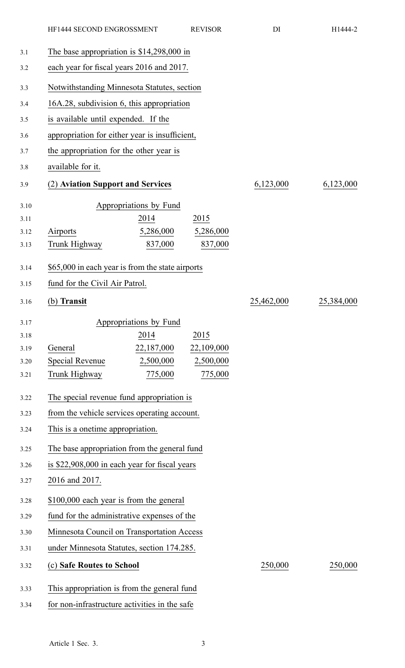|      | HF1444 SECOND ENGROSSMENT                        |                                               | <b>REVISOR</b> | DI         | H1444-2    |
|------|--------------------------------------------------|-----------------------------------------------|----------------|------------|------------|
| 3.1  | The base appropriation is $$14,298,000$ in       |                                               |                |            |            |
| 3.2  |                                                  | each year for fiscal years 2016 and 2017.     |                |            |            |
| 3.3  | Notwithstanding Minnesota Statutes, section      |                                               |                |            |            |
| 3.4  | 16A.28, subdivision 6, this appropriation        |                                               |                |            |            |
| 3.5  | is available until expended. If the              |                                               |                |            |            |
| 3.6  | appropriation for either year is insufficient,   |                                               |                |            |            |
| 3.7  | the appropriation for the other year is          |                                               |                |            |            |
| 3.8  | available for it.                                |                                               |                |            |            |
| 3.9  | (2) Aviation Support and Services                |                                               |                | 6,123,000  | 6,123,000  |
| 3.10 |                                                  | Appropriations by Fund                        |                |            |            |
| 3.11 |                                                  | 2014                                          | 2015           |            |            |
| 3.12 | Airports                                         | 5,286,000                                     | 5,286,000      |            |            |
| 3.13 | Trunk Highway                                    | 837,000                                       | 837,000        |            |            |
| 3.14 | \$65,000 in each year is from the state airports |                                               |                |            |            |
| 3.15 | fund for the Civil Air Patrol.                   |                                               |                |            |            |
| 3.16 | (b) Transit                                      |                                               |                | 25,462,000 | 25,384,000 |
| 3.17 |                                                  | Appropriations by Fund                        |                |            |            |
| 3.18 |                                                  | 2014                                          | 2015           |            |            |
| 3.19 | General                                          | 22,187,000                                    | 22,109,000     |            |            |
| 3.20 | <b>Special Revenue</b>                           | 2,500,000                                     | 2,500,000      |            |            |
| 3.21 | Trunk Highway                                    | 775,000                                       | 775,000        |            |            |
| 3.22 | The special revenue fund appropriation is        |                                               |                |            |            |
| 3.23 | from the vehicle services operating account.     |                                               |                |            |            |
| 3.24 | This is a onetime appropriation.                 |                                               |                |            |            |
| 3.25 | The base appropriation from the general fund     |                                               |                |            |            |
| 3.26 |                                                  | is \$22,908,000 in each year for fiscal years |                |            |            |
| 3.27 | 2016 and 2017.                                   |                                               |                |            |            |
| 3.28 | \$100,000 each year is from the general          |                                               |                |            |            |
| 3.29 | fund for the administrative expenses of the      |                                               |                |            |            |
| 3.30 | Minnesota Council on Transportation Access       |                                               |                |            |            |
| 3.31 | under Minnesota Statutes, section 174.285.       |                                               |                |            |            |
| 3.32 | (c) Safe Routes to School                        |                                               |                | 250,000    | 250,000    |
| 3.33 | This appropriation is from the general fund      |                                               |                |            |            |
| 3.34 | for non-infrastructure activities in the safe    |                                               |                |            |            |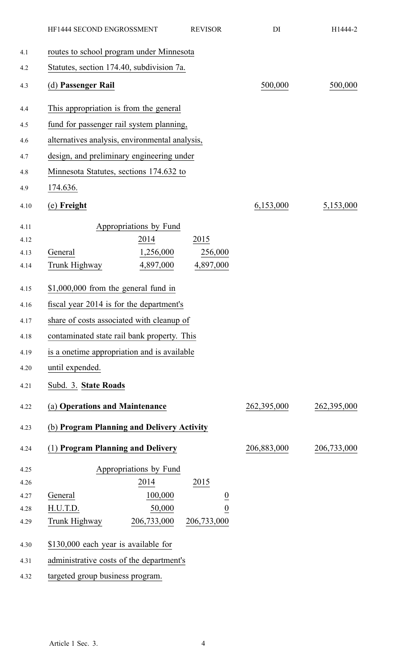|              | HF1444 SECOND ENGROSSMENT                      |                                | <b>REVISOR</b> | DI          | H1444-2     |
|--------------|------------------------------------------------|--------------------------------|----------------|-------------|-------------|
| 4.1          | routes to school program under Minnesota       |                                |                |             |             |
| 4.2          | Statutes, section 174.40, subdivision 7a.      |                                |                |             |             |
| 4.3          | (d) Passenger Rail                             |                                |                | 500,000     | 500,000     |
| 4.4          | This appropriation is from the general         |                                |                |             |             |
| 4.5          | fund for passenger rail system planning,       |                                |                |             |             |
| 4.6          | alternatives analysis, environmental analysis, |                                |                |             |             |
| 4.7          | design, and preliminary engineering under      |                                |                |             |             |
| 4.8          | Minnesota Statutes, sections 174.632 to        |                                |                |             |             |
| 4.9          | 174.636.                                       |                                |                |             |             |
| 4.10         | (e) Freight                                    |                                |                | 6,153,000   | 5,153,000   |
| 4.11         |                                                | Appropriations by Fund         |                |             |             |
| 4.12         |                                                | 2014                           | 2015           |             |             |
| 4.13         | General                                        | 1,256,000                      | 256,000        |             |             |
| 4.14         | Trunk Highway                                  | 4,897,000                      | 4,897,000      |             |             |
| 4.15         | $$1,000,000$ from the general fund in          |                                |                |             |             |
| 4.16         | fiscal year 2014 is for the department's       |                                |                |             |             |
| 4.17         | share of costs associated with cleanup of      |                                |                |             |             |
| 4.18         | contaminated state rail bank property. This    |                                |                |             |             |
| 4.19         | is a onetime appropriation and is available    |                                |                |             |             |
| 4.20         | until expended.                                |                                |                |             |             |
| 4.21         | Subd. 3. State Roads                           |                                |                |             |             |
| 4.22         | (a) Operations and Maintenance                 |                                |                | 262,395,000 | 262,395,000 |
| 4.23         | (b) Program Planning and Delivery Activity     |                                |                |             |             |
| 4.24         | (1) Program Planning and Delivery              |                                |                | 206,883,000 | 206,733,000 |
|              |                                                |                                |                |             |             |
| 4.25<br>4.26 |                                                | Appropriations by Fund<br>2014 | 2015           |             |             |
| 4.27         | General                                        | 100,000                        | $\overline{0}$ |             |             |
| 4.28         | H.U.T.D.                                       | 50,000                         | $\overline{0}$ |             |             |
| 4.29         | Trunk Highway                                  | 206,733,000                    | 206,733,000    |             |             |
| 4.30         | \$130,000 each year is available for           |                                |                |             |             |
| 4.31         | administrative costs of the department's       |                                |                |             |             |
| 4.32         | targeted group business program.               |                                |                |             |             |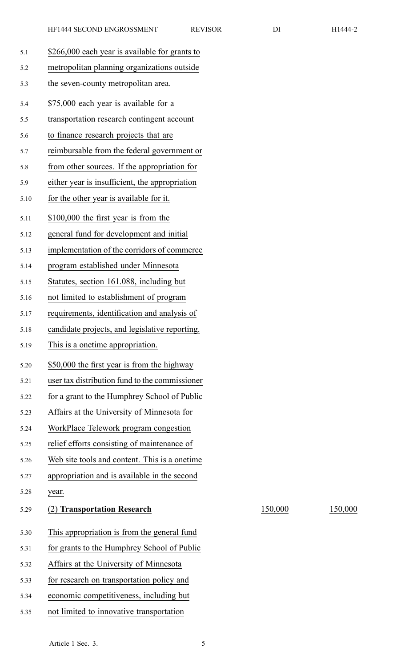| 5.1  | \$266,000 each year is available for grants to |         |         |
|------|------------------------------------------------|---------|---------|
| 5.2  | metropolitan planning organizations outside    |         |         |
| 5.3  | the seven-county metropolitan area.            |         |         |
| 5.4  | \$75,000 each year is available for a          |         |         |
| 5.5  | transportation research contingent account     |         |         |
| 5.6  | to finance research projects that are          |         |         |
| 5.7  | reimbursable from the federal government or    |         |         |
| 5.8  | from other sources. If the appropriation for   |         |         |
| 5.9  | either year is insufficient, the appropriation |         |         |
| 5.10 | for the other year is available for it.        |         |         |
| 5.11 | \$100,000 the first year is from the           |         |         |
| 5.12 | general fund for development and initial       |         |         |
| 5.13 | implementation of the corridors of commerce    |         |         |
| 5.14 | program established under Minnesota            |         |         |
| 5.15 | Statutes, section 161.088, including but       |         |         |
| 5.16 | not limited to establishment of program        |         |         |
| 5.17 | requirements, identification and analysis of   |         |         |
| 5.18 | candidate projects, and legislative reporting. |         |         |
| 5.19 | This is a onetime appropriation.               |         |         |
| 5.20 | \$50,000 the first year is from the highway    |         |         |
| 5.21 | user tax distribution fund to the commissioner |         |         |
| 5.22 | for a grant to the Humphrey School of Public   |         |         |
| 5.23 | Affairs at the University of Minnesota for     |         |         |
| 5.24 | WorkPlace Telework program congestion          |         |         |
| 5.25 | relief efforts consisting of maintenance of    |         |         |
| 5.26 | Web site tools and content. This is a onetime. |         |         |
| 5.27 | appropriation and is available in the second   |         |         |
| 5.28 | year.                                          |         |         |
| 5.29 | <b>Transportation Research</b>                 | 150,000 | 150,000 |
| 5.30 | This appropriation is from the general fund    |         |         |
| 5.31 | for grants to the Humphrey School of Public    |         |         |
| 5.32 | Affairs at the University of Minnesota         |         |         |
| 5.33 | for research on transportation policy and      |         |         |
| 5.34 | economic competitiveness, including but        |         |         |
| 5.35 | not limited to innovative transportation       |         |         |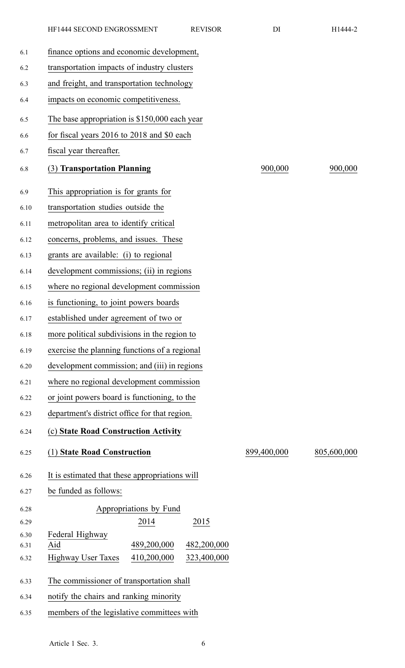| 6.1          | finance options and economic development,               |             |             |
|--------------|---------------------------------------------------------|-------------|-------------|
| 6.2          | transportation impacts of industry clusters             |             |             |
| 6.3          | and freight, and transportation technology              |             |             |
| 6.4          | impacts on economic competitiveness.                    |             |             |
| 6.5          | The base appropriation is \$150,000 each year           |             |             |
| 6.6          | for fiscal years 2016 to 2018 and \$0 each              |             |             |
| 6.7          | fiscal year thereafter.                                 |             |             |
| 6.8          | (3) Transportation Planning                             | 900,000     | 900,000     |
| 6.9          | This appropriation is for grants for                    |             |             |
| 6.10         | transportation studies outside the                      |             |             |
| 6.11         | metropolitan area to identify critical                  |             |             |
| 6.12         | concerns, problems, and issues. These                   |             |             |
| 6.13         | grants are available: (i) to regional                   |             |             |
| 6.14         | development commissions; (ii) in regions                |             |             |
| 6.15         | where no regional development commission                |             |             |
| 6.16         | is functioning, to joint powers boards                  |             |             |
| 6.17         | established under agreement of two or                   |             |             |
| 6.18         | more political subdivisions in the region to            |             |             |
| 6.19         | exercise the planning functions of a regional           |             |             |
| 6.20         | development commission; and (iii) in regions            |             |             |
| 6.21         | where no regional development commission                |             |             |
| 6.22         | or joint powers board is functioning, to the            |             |             |
| 6.23         | department's district office for that region.           |             |             |
| 6.24         | (c) State Road Construction Activity                    |             |             |
| 6.25         | (1) State Road Construction                             | 899,400,000 | 805,600,000 |
| 6.26         | It is estimated that these appropriations will          |             |             |
| 6.27         | be funded as follows:                                   |             |             |
| 6.28         | Appropriations by Fund                                  |             |             |
| 6.29         | 2014<br>2015                                            |             |             |
| 6.30<br>6.31 | Federal Highway<br>489,200,000<br>Aid<br>482,200,000    |             |             |
| 6.32         | <b>Highway User Taxes</b><br>410,200,000<br>323,400,000 |             |             |

HF1444 SECOND ENGROSSMENT REVISOR DI H1444-2

- 6.33 The commissioner of transportation shall
- 6.34 notify the chairs and ranking minority
- 6.35 members of the legislative committees with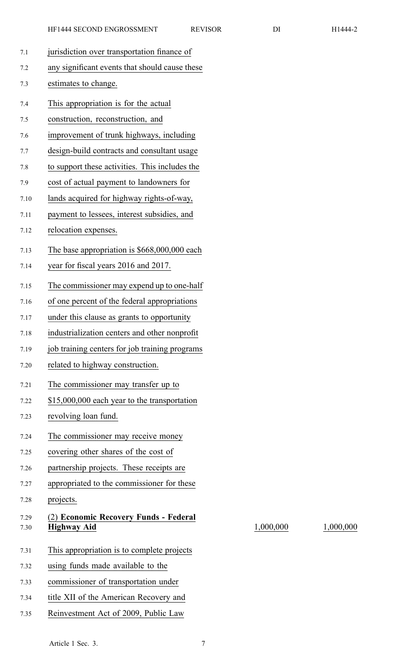1,000,000 1,000,000

| 7.1          | jurisdiction over transportation finance of                 |
|--------------|-------------------------------------------------------------|
| 7.2          | any significant events that should cause these              |
| 7.3          | estimates to change.                                        |
| 7.4          | This appropriation is for the actual                        |
| 7.5          | construction, reconstruction, and                           |
| 7.6          | improvement of trunk highways, including                    |
| 7.7          | design-build contracts and consultant usage                 |
| 7.8          | to support these activities. This includes the              |
| 7.9          | cost of actual payment to landowners for                    |
| 7.10         | lands acquired for highway rights-of-way,                   |
| 7.11         | payment to lessees, interest subsidies, and                 |
| 7.12         | relocation expenses.                                        |
| 7.13         | The base appropriation is \$668,000,000 each                |
| 7.14         | year for fiscal years 2016 and 2017.                        |
| 7.15         | The commissioner may expend up to one-half                  |
| 7.16         | of one percent of the federal appropriations                |
| 7.17         | under this clause as grants to opportunity                  |
| 7.18         | industrialization centers and other nonprofit               |
| 7.19         | job training centers for job training programs              |
| 7.20         | related to highway construction.                            |
| 7.21         | The commissioner may transfer up to                         |
| 7.22         | \$15,000,000 each year to the transportation                |
| 7.23         | revolving loan fund.                                        |
| 7.24         | The commissioner may receive money                          |
| 7.25         | covering other shares of the cost of                        |
| 7.26         | partnership projects. These receipts are                    |
| 7.27         | appropriated to the commissioner for these                  |
| 7.28         | projects.                                                   |
| 7.29<br>7.30 | (2) Economic Recovery Funds - Federal<br><b>Highway Aid</b> |
| 7.31         | This appropriation is to complete projects                  |
| 7.32         | using funds made available to the                           |
| 7.33         | commissioner of transportation under                        |
| 7.34         | title XII of the American Recovery and                      |

7.35 Reinvestment Act of 2009, Public Law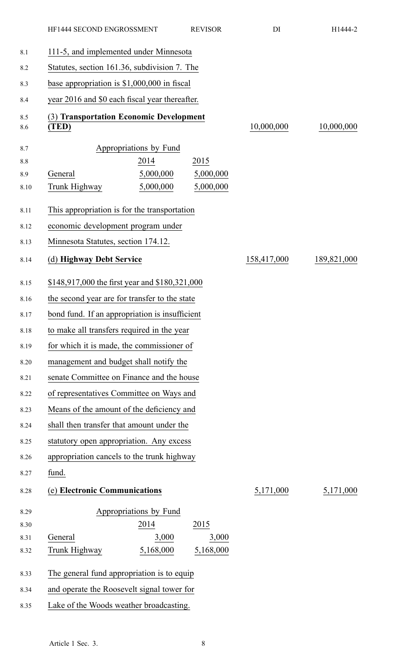|            | HF1444 SECOND ENGROSSMENT                        | <b>REVISOR</b> | DI          | H1444-2     |
|------------|--------------------------------------------------|----------------|-------------|-------------|
| 8.1        | 111-5, and implemented under Minnesota           |                |             |             |
| 8.2        | Statutes, section 161.36, subdivision 7. The     |                |             |             |
| 8.3        | base appropriation is $$1,000,000$ in fiscal     |                |             |             |
| 8.4        | year 2016 and \$0 each fiscal year thereafter.   |                |             |             |
| 8.5<br>8.6 | (3) Transportation Economic Development<br>(TED) |                | 10,000,000  | 10,000,000  |
| 8.7        | Appropriations by Fund                           |                |             |             |
| 8.8        | 2014                                             | 2015           |             |             |
| 8.9        | 5,000,000<br>General                             | 5,000,000      |             |             |
| 8.10       | Trunk Highway<br>5,000,000                       | 5,000,000      |             |             |
| 8.11       | This appropriation is for the transportation     |                |             |             |
| 8.12       | economic development program under               |                |             |             |
| 8.13       | Minnesota Statutes, section 174.12.              |                |             |             |
| 8.14       | (d) Highway Debt Service                         |                | 158,417,000 | 189,821,000 |
| 8.15       | \$148,917,000 the first year and \$180,321,000   |                |             |             |
| 8.16       | the second year are for transfer to the state    |                |             |             |
| 8.17       | bond fund. If an appropriation is insufficient   |                |             |             |
| 8.18       | to make all transfers required in the year       |                |             |             |
| 8.19       | for which it is made, the commissioner of        |                |             |             |
| 8.20       | management and budget shall notify the           |                |             |             |
| 8.21       | senate Committee on Finance and the house        |                |             |             |
| 8.22       | of representatives Committee on Ways and         |                |             |             |
| 8.23       | Means of the amount of the deficiency and        |                |             |             |
| 8.24       | shall then transfer that amount under the        |                |             |             |
| 8.25       | statutory open appropriation. Any excess         |                |             |             |
| 8.26       | appropriation cancels to the trunk highway       |                |             |             |
| 8.27       | fund.                                            |                |             |             |
| 8.28       | (e) Electronic Communications                    |                | 5,171,000   | 5,171,000   |
| 8.29       | Appropriations by Fund                           |                |             |             |
| 8.30       | 2014                                             | 2015           |             |             |
| 8.31       | General<br>3,000                                 | 3,000          |             |             |
| 8.32       | 5,168,000<br>Trunk Highway                       | 5,168,000      |             |             |
| 8.33       | The general fund appropriation is to equip       |                |             |             |
| 8.34       | and operate the Roosevelt signal tower for       |                |             |             |
| 8.35       | Lake of the Woods weather broadcasting.          |                |             |             |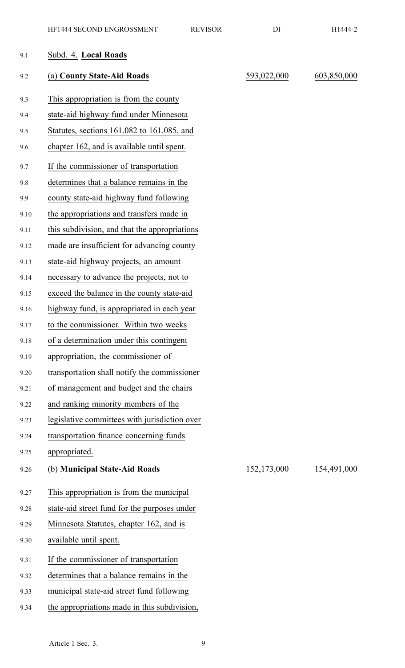| 9.1  | Subd. 4. Local Roads                          |             |             |
|------|-----------------------------------------------|-------------|-------------|
| 9.2  | (a) County State-Aid Roads                    | 593,022,000 | 603,850,000 |
| 9.3  | This appropriation is from the county         |             |             |
| 9.4  | state-aid highway fund under Minnesota        |             |             |
| 9.5  | Statutes, sections 161.082 to 161.085, and    |             |             |
| 9.6  | chapter 162, and is available until spent.    |             |             |
| 9.7  | If the commissioner of transportation         |             |             |
| 9.8  | determines that a balance remains in the      |             |             |
| 9.9  | county state-aid highway fund following       |             |             |
| 9.10 | the appropriations and transfers made in      |             |             |
| 9.11 | this subdivision, and that the appropriations |             |             |
| 9.12 | made are insufficient for advancing county    |             |             |
| 9.13 | state-aid highway projects, an amount         |             |             |
| 9.14 | necessary to advance the projects, not to     |             |             |
| 9.15 | exceed the balance in the county state-aid    |             |             |
| 9.16 | highway fund, is appropriated in each year    |             |             |
| 9.17 | to the commissioner. Within two weeks         |             |             |
| 9.18 | of a determination under this contingent      |             |             |
| 9.19 | appropriation, the commissioner of            |             |             |
| 9.20 | transportation shall notify the commissioner  |             |             |
| 9.21 | of management and budget and the chairs       |             |             |
| 9.22 | and ranking minority members of the           |             |             |
| 9.23 | legislative committees with jurisdiction over |             |             |
| 9.24 | transportation finance concerning funds       |             |             |
| 9.25 | appropriated.                                 |             |             |
| 9.26 | (b) Municipal State-Aid Roads                 | 152,173,000 | 154,491,000 |
| 9.27 | This appropriation is from the municipal      |             |             |
| 9.28 | state-aid street fund for the purposes under  |             |             |
| 9.29 | Minnesota Statutes, chapter 162, and is       |             |             |
| 9.30 | available until spent.                        |             |             |
| 9.31 | If the commissioner of transportation         |             |             |
| 9.32 | determines that a balance remains in the      |             |             |
| 9.33 | municipal state-aid street fund following     |             |             |
| 9.34 | the appropriations made in this subdivision,  |             |             |
|      |                                               |             |             |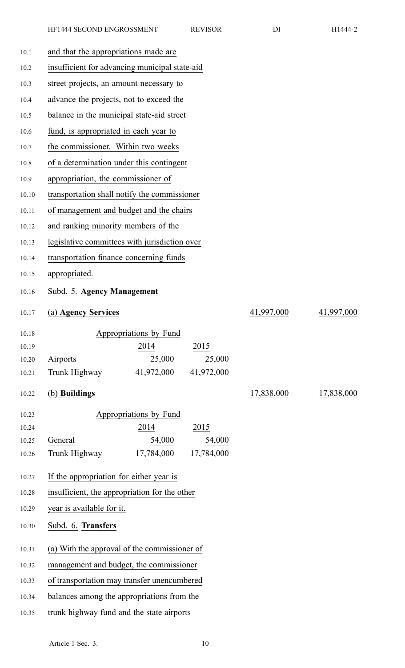| 10.1           | and that the appropriations made are           |            |            |  |
|----------------|------------------------------------------------|------------|------------|--|
| 10.2           | insufficient for advancing municipal state-aid |            |            |  |
| 10.3           | street projects, an amount necessary to        |            |            |  |
| 10.4           | advance the projects, not to exceed the        |            |            |  |
| 10.5           | balance in the municipal state-aid street      |            |            |  |
| 10.6           | fund, is appropriated in each year to          |            |            |  |
| 10.7           | the commissioner. Within two weeks             |            |            |  |
| 10.8           | of a determination under this contingent       |            |            |  |
| 10.9           | appropriation, the commissioner of             |            |            |  |
| 10.10          | transportation shall notify the commissioner   |            |            |  |
| 10.11          | of management and budget and the chairs        |            |            |  |
| 10.12          | and ranking minority members of the            |            |            |  |
| 10.13          | legislative committees with jurisdiction over  |            |            |  |
| 10.14          | transportation finance concerning funds        |            |            |  |
| 10.15          | appropriated.                                  |            |            |  |
| 10.16          | Subd. 5. Agency Management                     |            |            |  |
| 10.17          | (a) Agency Services                            | 41,997,000 | 41,997,000 |  |
|                |                                                |            |            |  |
| 10.18<br>10.19 | Appropriations by Fund<br>2014<br>2015         |            |            |  |
| 10.20          | 25,000<br>25,000<br>Airports                   |            |            |  |
| 10.21          | 41,972,000<br>41,972,000<br>Trunk Highway      |            |            |  |
| 10.22          | (b) Buildings                                  | 17,838,000 | 17,838,000 |  |
| 10.23          | Appropriations by Fund                         |            |            |  |
| 10.24          | 2014<br>2015                                   |            |            |  |
| 10.25          | General<br>54,000<br>54,000                    |            |            |  |
| 10.26          | 17,784,000<br>17,784,000<br>Trunk Highway      |            |            |  |
| 10.27          | If the appropriation for either year is        |            |            |  |
| 10.28          | insufficient, the appropriation for the other  |            |            |  |
| 10.29          | year is available for it.                      |            |            |  |
| 10.30          | Subd. 6. Transfers                             |            |            |  |
| 10.31          | (a) With the approval of the commissioner of   |            |            |  |
| 10.32          | management and budget, the commissioner        |            |            |  |
| 10.33          | of transportation may transfer unencumbered    |            |            |  |
|                |                                                |            |            |  |

10.34 balances among the appropriations from the

10.35 trunk highway fund and the state airports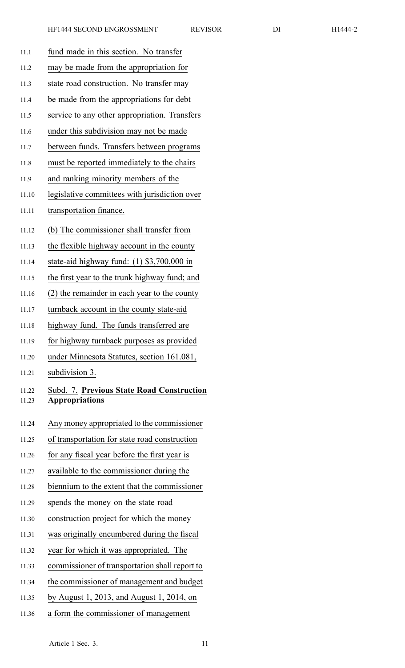| 11.1           | fund made in this section. No transfer                             |
|----------------|--------------------------------------------------------------------|
| 11.2           | may be made from the appropriation for                             |
| 11.3           | state road construction. No transfer may                           |
| 11.4           | be made from the appropriations for debt                           |
| 11.5           | service to any other appropriation. Transfers                      |
| 11.6           | under this subdivision may not be made                             |
| 11.7           | between funds. Transfers between programs                          |
| 11.8           | must be reported immediately to the chairs                         |
| 11.9           | and ranking minority members of the                                |
| 11.10          | legislative committees with jurisdiction over                      |
| 11.11          | transportation finance.                                            |
| 11.12          | (b) The commissioner shall transfer from                           |
| 11.13          | the flexible highway account in the county                         |
| 11.14          | state-aid highway fund: $(1)$ \$3,700,000 in                       |
| 11.15          | the first year to the trunk highway fund; and                      |
| 11.16          | (2) the remainder in each year to the county                       |
| 11.17          | turnback account in the county state-aid                           |
| 11.18          | highway fund. The funds transferred are                            |
| 11.19          | for highway turnback purposes as provided                          |
| 11.20          | under Minnesota Statutes, section 161.081,                         |
| 11.21          | subdivision 3.                                                     |
| 11.22<br>11.23 | Subd. 7. Previous State Road Construction<br><b>Appropriations</b> |
| 11.24          | Any money appropriated to the commissioner                         |
| 11.25          | of transportation for state road construction                      |
| 11.26          | for any fiscal year before the first year is                       |
| 11.27          | available to the commissioner during the                           |
| 11.28          | biennium to the extent that the commissioner                       |
| 11.29          |                                                                    |
|                | spends the money on the state road                                 |
| 11.30          | construction project for which the money                           |
| 11.31          | was originally encumbered during the fiscal                        |
| 11.32          | year for which it was appropriated. The                            |
| 11.33          | commissioner of transportation shall report to                     |
| 11.34          | the commissioner of management and budget                          |
| 11.35          | by August 1, 2013, and August 1, 2014, on                          |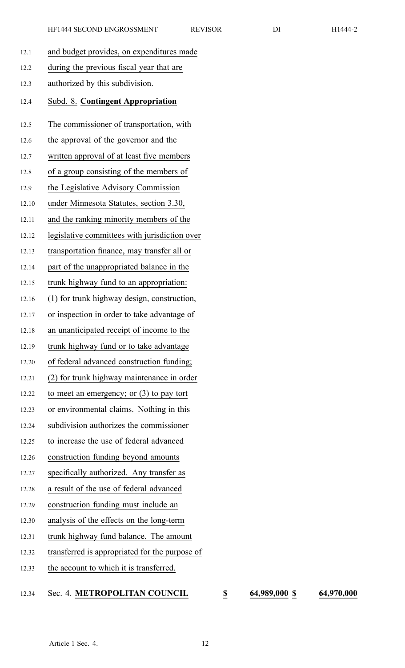|      | HF1444 SECOND ENGROSSMENT                 | <b>REVISOR</b> | DI | H1444-2 |
|------|-------------------------------------------|----------------|----|---------|
| 12.1 | and budget provides, on expenditures made |                |    |         |
| 12.2 | during the previous fiscal year that are  |                |    |         |
| 12.3 | authorized by this subdivision.           |                |    |         |
| 12.4 | Subd. 8. Contingent Appropriation         |                |    |         |
| 12.5 | The commissioner of transportation, with  |                |    |         |
| 12.6 | the approval of the governor and the      |                |    |         |
| 12.7 | written approval of at least five members |                |    |         |
|      |                                           |                |    |         |

12.8 of <sup>a</sup> group consisting of the members of

- 12.9 the Legislative Advisory Commission
- 12.10 under Minnesota Statutes, section 3.30,
- 12.11 and the ranking minority members of the
- 12.12 legislative committees with jurisdiction over
- 12.13 transportation finance, may transfer all or
- 12.14 par<sup>t</sup> of the unappropriated balance in the
- 12.15 trunk highway fund to an appropriation:
- 12.16 (1) for trunk highway design, construction,
- 12.17 or inspection in order to take advantage of
- 12.18 an unanticipated receipt of income to the
- 12.19 trunk highway fund or to take advantage
- 12.20 of federal advanced construction funding;
- 12.21 (2) for trunk highway maintenance in order
- 12.22 to meet an emergency; or (3) to pay tort
- 12.23 or environmental claims. Nothing in this
- 12.24 subdivision authorizes the commissioner
- 12.25 to increase the use of federal advanced
- 12.26 construction funding beyond amounts
- 12.27 specifically authorized. Any transfer as
- 12.28 <sup>a</sup> result of the use of federal advanced
- 12.29 construction funding must include an
- 12.30 analysis of the effects on the long-term
- 12.31 trunk highway fund balance. The amount
- 12.32 transferred is appropriated for the purpose of
- 12.33 the account to which it is transferred.

## 12.34 Sec. 4. **METROPOLITAN COUNCIL \$ 64,989,000 \$ 64,970,000**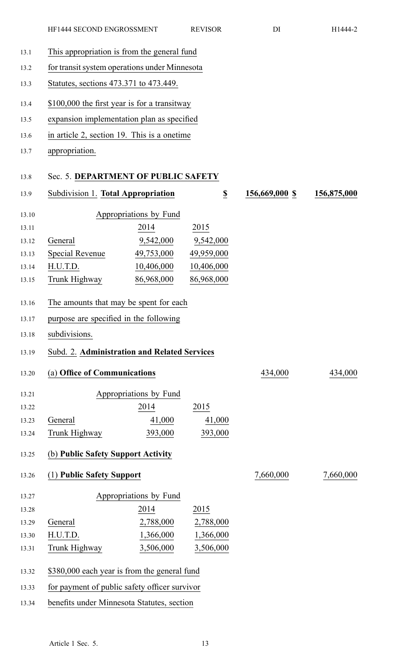13.1 This appropriation is from the general fund

| 13.2  | for transit system operations under Minnesota |                                              |                  |                |             |  |
|-------|-----------------------------------------------|----------------------------------------------|------------------|----------------|-------------|--|
| 13.3  | Statutes, sections 473.371 to 473.449.        |                                              |                  |                |             |  |
| 13.4  |                                               | \$100,000 the first year is for a transitway |                  |                |             |  |
| 13.5  | expansion implementation plan as specified    |                                              |                  |                |             |  |
| 13.6  | in article 2, section 19. This is a onetime   |                                              |                  |                |             |  |
| 13.7  | appropriation.                                |                                              |                  |                |             |  |
| 13.8  | Sec. 5. DEPARTMENT OF PUBLIC SAFETY           |                                              |                  |                |             |  |
| 13.9  | Subdivision 1. Total Appropriation            |                                              | $\underline{\$}$ | 156,669,000 \$ | 156,875,000 |  |
| 13.10 |                                               | Appropriations by Fund                       |                  |                |             |  |
| 13.11 |                                               | 2014                                         | 2015             |                |             |  |
| 13.12 | General                                       | 9,542,000                                    | 9,542,000        |                |             |  |
| 13.13 | Special Revenue                               | 49,753,000                                   | 49,959,000       |                |             |  |
| 13.14 | H.U.T.D.                                      | 10,406,000                                   | 10,406,000       |                |             |  |
| 13.15 | Trunk Highway                                 | 86,968,000                                   | 86,968,000       |                |             |  |
| 13.16 | The amounts that may be spent for each        |                                              |                  |                |             |  |
| 13.17 | purpose are specified in the following        |                                              |                  |                |             |  |
| 13.18 | subdivisions.                                 |                                              |                  |                |             |  |
| 13.19 | Subd. 2. Administration and Related Services  |                                              |                  |                |             |  |
|       |                                               |                                              |                  |                |             |  |
| 13.20 | (a) Office of Communications                  |                                              |                  | 434,000        | 434,000     |  |
| 13.21 |                                               | Appropriations by Fund                       |                  |                |             |  |
| 13.22 |                                               | 2014                                         | 2015             |                |             |  |
| 13.23 | General                                       | 41,000                                       | 41,000           |                |             |  |
| 13.24 | Trunk Highway                                 | 393,000                                      | 393,000          |                |             |  |
| 13.25 | (b) Public Safety Support Activity            |                                              |                  |                |             |  |
| 13.26 | (1) Public Safety Support                     |                                              |                  | 7,660,000      | 7,660,000   |  |
| 13.27 |                                               | Appropriations by Fund                       |                  |                |             |  |
| 13.28 |                                               | 2014                                         | 2015             |                |             |  |
| 13.29 | General                                       | 2,788,000                                    | 2,788,000        |                |             |  |
| 13.30 | H.U.T.D.                                      | 1,366,000                                    | 1,366,000        |                |             |  |
| 13.31 | Trunk Highway                                 | 3,506,000                                    | 3,506,000        |                |             |  |
| 13.32 | \$380,000 each year is from the general fund  |                                              |                  |                |             |  |

- 13.33 for paymen<sup>t</sup> of public safety officer survivor
- 13.34 benefits under Minnesota Statutes, section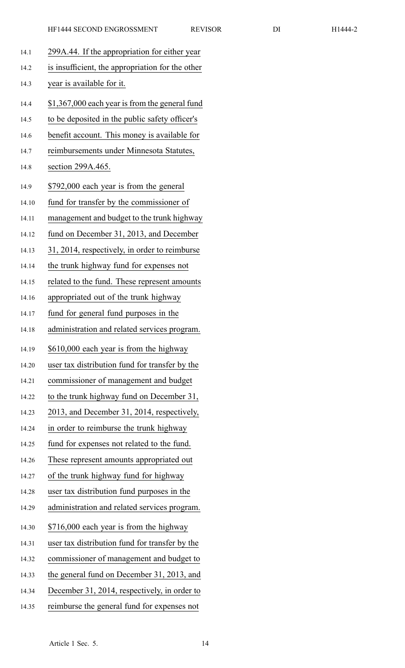| 14.1  | 299A.44. If the appropriation for either year    |
|-------|--------------------------------------------------|
| 14.2  | is insufficient, the appropriation for the other |
| 14.3  | year is available for it.                        |
| 14.4  | \$1,367,000 each year is from the general fund   |
| 14.5  | to be deposited in the public safety officer's   |
| 14.6  | benefit account. This money is available for     |
| 14.7  | reimbursements under Minnesota Statutes,         |
| 14.8  | section 299A.465.                                |
| 14.9  | \$792,000 each year is from the general          |
| 14.10 | fund for transfer by the commissioner of         |
| 14.11 | management and budget to the trunk highway       |
| 14.12 | fund on December 31, 2013, and December          |
| 14.13 | 31, 2014, respectively, in order to reimburse    |
| 14.14 | the trunk highway fund for expenses not          |
| 14.15 | related to the fund. These represent amounts     |
| 14.16 | appropriated out of the trunk highway            |
| 14.17 | fund for general fund purposes in the            |
| 14.18 | administration and related services program.     |
| 14.19 | \$610,000 each year is from the highway          |
| 14.20 | user tax distribution fund for transfer by the   |
| 14.21 | commissioner of management and budget            |
| 14.22 | to the trunk highway fund on December 31,        |
| 14.23 | 2013, and December 31, 2014, respectively,       |
| 14.24 | in order to reimburse the trunk highway          |
| 14.25 | fund for expenses not related to the fund.       |
| 14.26 | These represent amounts appropriated out         |
| 14.27 | of the trunk highway fund for highway            |
| 14.28 | user tax distribution fund purposes in the       |
| 14.29 | administration and related services program.     |
| 14.30 | \$716,000 each year is from the highway          |
| 14.31 | user tax distribution fund for transfer by the   |
| 14.32 | commissioner of management and budget to         |
| 14.33 | the general fund on December 31, 2013, and       |
| 14.34 | December 31, 2014, respectively, in order to     |
| 14.35 | reimburse the general fund for expenses not      |
|       |                                                  |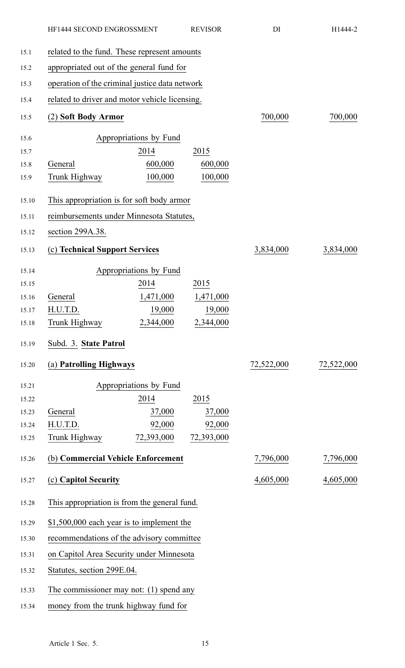|       | HF1444 SECOND ENGROSSMENT                      |                        | <b>REVISOR</b> | DI         | H1444-2    |  |
|-------|------------------------------------------------|------------------------|----------------|------------|------------|--|
| 15.1  | related to the fund. These represent amounts   |                        |                |            |            |  |
| 15.2  | appropriated out of the general fund for       |                        |                |            |            |  |
| 15.3  | operation of the criminal justice data network |                        |                |            |            |  |
| 15.4  | related to driver and motor vehicle licensing. |                        |                |            |            |  |
| 15.5  | (2) Soft Body Armor                            |                        |                | 700,000    | 700,000    |  |
| 15.6  |                                                | Appropriations by Fund |                |            |            |  |
| 15.7  |                                                | 2014                   | 2015           |            |            |  |
| 15.8  | General                                        | 600,000                | 600,000        |            |            |  |
| 15.9  | Trunk Highway                                  | 100,000                | 100,000        |            |            |  |
| 15.10 | This appropriation is for soft body armor      |                        |                |            |            |  |
| 15.11 | reimbursements under Minnesota Statutes,       |                        |                |            |            |  |
| 15.12 | section 299A.38.                               |                        |                |            |            |  |
| 15.13 | (c) Technical Support Services                 |                        |                | 3,834,000  | 3,834,000  |  |
| 15.14 |                                                | Appropriations by Fund |                |            |            |  |
| 15.15 |                                                | 2014                   | 2015           |            |            |  |
| 15.16 | General                                        | 1,471,000              | 1,471,000      |            |            |  |
| 15.17 | H.U.T.D.                                       | 19,000                 | 19,000         |            |            |  |
| 15.18 | Trunk Highway                                  | 2,344,000              | 2,344,000      |            |            |  |
| 15.19 | Subd. 3. State Patrol                          |                        |                |            |            |  |
| 15.20 | (a) Patrolling Highways                        |                        |                | 72,522,000 | 72,522,000 |  |
| 15.21 |                                                | Appropriations by Fund |                |            |            |  |
| 15.22 |                                                | 2014                   | 2015           |            |            |  |
| 15.23 | General                                        | 37,000                 | 37,000         |            |            |  |
| 15.24 | H.U.T.D.                                       | 92,000                 | 92,000         |            |            |  |
| 15.25 | Trunk Highway                                  | 72,393,000             | 72,393,000     |            |            |  |
| 15.26 | (b) Commercial Vehicle Enforcement             |                        |                | 7,796,000  | 7,796,000  |  |
| 15.27 | (c) Capitol Security                           |                        |                | 4,605,000  | 4,605,000  |  |
| 15.28 | This appropriation is from the general fund.   |                        |                |            |            |  |
| 15.29 | \$1,500,000 each year is to implement the      |                        |                |            |            |  |
| 15.30 | recommendations of the advisory committee      |                        |                |            |            |  |
| 15.31 | on Capitol Area Security under Minnesota       |                        |                |            |            |  |
| 15.32 | Statutes, section 299E.04.                     |                        |                |            |            |  |
| 15.33 | The commissioner may not: $(1)$ spend any      |                        |                |            |            |  |
| 15.34 | money from the trunk highway fund for          |                        |                |            |            |  |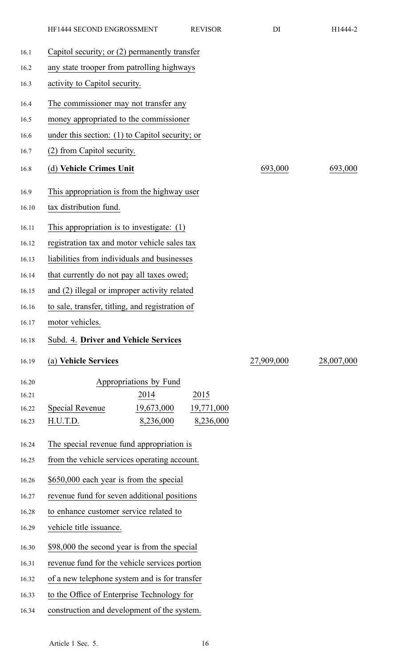|       | HF1444 SECOND ENGROSSMENT<br><b>REVISOR</b>       | DI         | H1444-2    |  |  |
|-------|---------------------------------------------------|------------|------------|--|--|
| 16.1  | Capitol security; or (2) permanently transfer     |            |            |  |  |
| 16.2  | any state trooper from patrolling highways        |            |            |  |  |
| 16.3  | activity to Capitol security.                     |            |            |  |  |
| 16.4  | The commissioner may not transfer any             |            |            |  |  |
| 16.5  | money appropriated to the commissioner            |            |            |  |  |
| 16.6  | under this section: $(1)$ to Capitol security; or |            |            |  |  |
| 16.7  | (2) from Capitol security.                        |            |            |  |  |
| 16.8  | (d) Vehicle Crimes Unit                           | 693,000    | 693,000    |  |  |
| 16.9  | This appropriation is from the highway user       |            |            |  |  |
| 16.10 | tax distribution fund.                            |            |            |  |  |
| 16.11 | This appropriation is to investigate: $(1)$       |            |            |  |  |
| 16.12 | registration tax and motor vehicle sales tax      |            |            |  |  |
| 16.13 | liabilities from individuals and businesses       |            |            |  |  |
| 16.14 | that currently do not pay all taxes owed;         |            |            |  |  |
| 16.15 | and (2) illegal or improper activity related      |            |            |  |  |
| 16.16 | to sale, transfer, titling, and registration of   |            |            |  |  |
| 16.17 | motor vehicles.                                   |            |            |  |  |
| 16.18 | Subd. 4. Driver and Vehicle Services              |            |            |  |  |
| 16.19 | (a) Vehicle Services                              | 27,909,000 | 28,007,000 |  |  |
| 16.20 | Appropriations by Fund                            |            |            |  |  |
| 16.21 | 2014<br>2015                                      |            |            |  |  |
| 16.22 | 19,673,000<br>Special Revenue<br>19,771,000       |            |            |  |  |
| 16.23 | 8,236,000<br>8,236,000<br>H.U.T.D.                |            |            |  |  |
| 16.24 | The special revenue fund appropriation is         |            |            |  |  |
| 16.25 | from the vehicle services operating account.      |            |            |  |  |
| 16.26 | \$650,000 each year is from the special           |            |            |  |  |
| 16.27 | revenue fund for seven additional positions       |            |            |  |  |
| 16.28 | to enhance customer service related to            |            |            |  |  |
| 16.29 | vehicle title issuance.                           |            |            |  |  |
| 16.30 | \$98,000 the second year is from the special      |            |            |  |  |
| 16.31 | revenue fund for the vehicle services portion     |            |            |  |  |
| 16.32 | of a new telephone system and is for transfer     |            |            |  |  |
| 16.33 | to the Office of Enterprise Technology for        |            |            |  |  |
| 16.34 | construction and development of the system.       |            |            |  |  |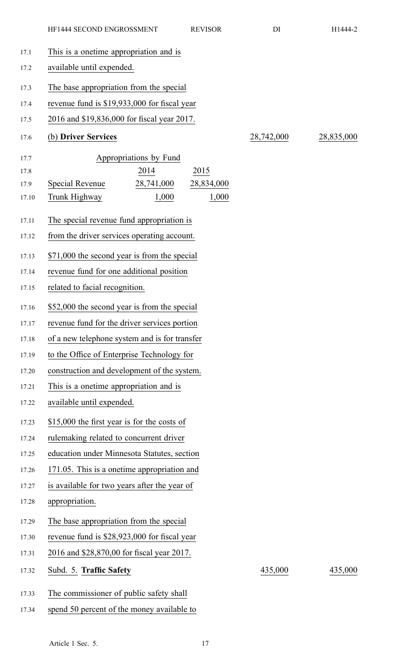| 17.1  | This is a onetime appropriation and is        |                                              |            |            |            |
|-------|-----------------------------------------------|----------------------------------------------|------------|------------|------------|
| 17.2  | available until expended.                     |                                              |            |            |            |
| 17.3  | The base appropriation from the special       |                                              |            |            |            |
| 17.4  | revenue fund is \$19,933,000 for fiscal year  |                                              |            |            |            |
| 17.5  | 2016 and \$19,836,000 for fiscal year 2017.   |                                              |            |            |            |
| 17.6  | (b) Driver Services                           |                                              |            | 28,742,000 | 28,835,000 |
| 17.7  |                                               | Appropriations by Fund                       |            |            |            |
| 17.8  |                                               | 2014                                         | 2015       |            |            |
| 17.9  | Special Revenue                               | 28,741,000                                   | 28,834,000 |            |            |
| 17.10 | Trunk Highway                                 | 1,000                                        | 1,000      |            |            |
| 17.11 | The special revenue fund appropriation is     |                                              |            |            |            |
| 17.12 | from the driver services operating account.   |                                              |            |            |            |
| 17.13 | \$71,000 the second year is from the special  |                                              |            |            |            |
| 17.14 | revenue fund for one additional position      |                                              |            |            |            |
| 17.15 | related to facial recognition.                |                                              |            |            |            |
| 17.16 | \$52,000 the second year is from the special  |                                              |            |            |            |
| 17.17 | revenue fund for the driver services portion  |                                              |            |            |            |
| 17.18 | of a new telephone system and is for transfer |                                              |            |            |            |
| 17.19 | to the Office of Enterprise Technology for    |                                              |            |            |            |
| 17.20 | construction and development of the system.   |                                              |            |            |            |
| 17.21 | This is a onetime appropriation and is        |                                              |            |            |            |
| 17.22 | available until expended.                     |                                              |            |            |            |
| 17.23 | \$15,000 the first year is for the costs of   |                                              |            |            |            |
| 17.24 | rulemaking related to concurrent driver       |                                              |            |            |            |
| 17.25 | education under Minnesota Statutes, section   |                                              |            |            |            |
| 17.26 |                                               | 171.05. This is a onetime appropriation and  |            |            |            |
| 17.27 |                                               | is available for two years after the year of |            |            |            |
| 17.28 | appropriation.                                |                                              |            |            |            |
| 17.29 | The base appropriation from the special       |                                              |            |            |            |
| 17.30 | revenue fund is \$28,923,000 for fiscal year  |                                              |            |            |            |
| 17.31 | 2016 and \$28,870,00 for fiscal year 2017.    |                                              |            |            |            |
| 17.32 | Subd. 5. Traffic Safety                       |                                              |            | 435,000    | 435,000    |
| 17.33 | The commissioner of public safety shall       |                                              |            |            |            |
| 17.34 | spend 50 percent of the money available to    |                                              |            |            |            |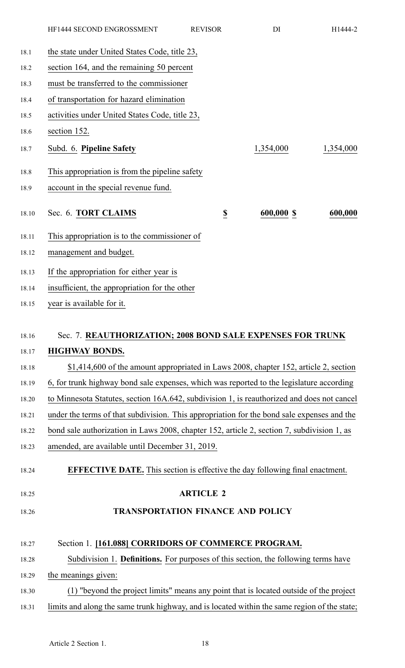|       | HF1444 SECOND ENGROSSMENT                                                                    | <b>REVISOR</b>   | DI         | H1444-2   |
|-------|----------------------------------------------------------------------------------------------|------------------|------------|-----------|
| 18.1  | the state under United States Code, title 23,                                                |                  |            |           |
| 18.2  | section 164, and the remaining 50 percent                                                    |                  |            |           |
| 18.3  | must be transferred to the commissioner                                                      |                  |            |           |
| 18.4  | of transportation for hazard elimination                                                     |                  |            |           |
| 18.5  | activities under United States Code, title 23,                                               |                  |            |           |
| 18.6  | section 152.                                                                                 |                  |            |           |
| 18.7  | Subd. 6. Pipeline Safety                                                                     |                  | 1,354,000  | 1,354,000 |
| 18.8  | This appropriation is from the pipeline safety                                               |                  |            |           |
| 18.9  | account in the special revenue fund.                                                         |                  |            |           |
| 18.10 | Sec. 6. TORT CLAIMS                                                                          | $\underline{\$}$ | 600,000 \$ | 600,000   |
|       |                                                                                              |                  |            |           |
| 18.11 | This appropriation is to the commissioner of                                                 |                  |            |           |
| 18.12 | management and budget.                                                                       |                  |            |           |
| 18.13 | If the appropriation for either year is                                                      |                  |            |           |
| 18.14 | insufficient, the appropriation for the other                                                |                  |            |           |
| 18.15 | year is available for it.                                                                    |                  |            |           |
| 18.16 | Sec. 7. REAUTHORIZATION; 2008 BOND SALE EXPENSES FOR TRUNK                                   |                  |            |           |
| 18.17 | <b>HIGHWAY BONDS.</b>                                                                        |                  |            |           |
| 18.18 | \$1,414,600 of the amount appropriated in Laws 2008, chapter 152, article 2, section         |                  |            |           |
| 18.19 | 6, for trunk highway bond sale expenses, which was reported to the legislature according     |                  |            |           |
| 18.20 | to Minnesota Statutes, section 16A.642, subdivision 1, is reauthorized and does not cancel   |                  |            |           |
| 18.21 | under the terms of that subdivision. This appropriation for the bond sale expenses and the   |                  |            |           |
| 18.22 | bond sale authorization in Laws 2008, chapter 152, article 2, section 7, subdivision 1, as   |                  |            |           |
| 18.23 | amended, are available until December 31, 2019.                                              |                  |            |           |
|       |                                                                                              |                  |            |           |
| 18.24 | <b>EFFECTIVE DATE.</b> This section is effective the day following final enactment.          |                  |            |           |
| 18.25 |                                                                                              | <b>ARTICLE 2</b> |            |           |
| 18.26 | <b>TRANSPORTATION FINANCE AND POLICY</b>                                                     |                  |            |           |
|       |                                                                                              |                  |            |           |
| 18.27 | Section 1. [161.088] CORRIDORS OF COMMERCE PROGRAM.                                          |                  |            |           |
| 18.28 | Subdivision 1. <b>Definitions.</b> For purposes of this section, the following terms have    |                  |            |           |
| 18.29 | the meanings given:                                                                          |                  |            |           |
| 18.30 | (1) "beyond the project limits" means any point that is located outside of the project       |                  |            |           |
| 18.31 | limits and along the same trunk highway, and is located within the same region of the state; |                  |            |           |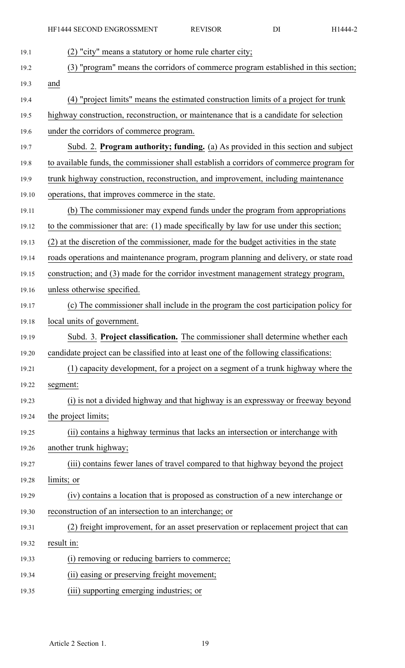| 19.1  | (2) "city" means a statutory or home rule charter city;                                  |
|-------|------------------------------------------------------------------------------------------|
| 19.2  | (3) "program" means the corridors of commerce program established in this section;       |
| 19.3  | and                                                                                      |
| 19.4  | (4) "project limits" means the estimated construction limits of a project for trunk      |
| 19.5  | highway construction, reconstruction, or maintenance that is a candidate for selection   |
| 19.6  | under the corridors of commerce program.                                                 |
| 19.7  | Subd. 2. Program authority; funding. (a) As provided in this section and subject         |
| 19.8  | to available funds, the commissioner shall establish a corridors of commerce program for |
| 19.9  | trunk highway construction, reconstruction, and improvement, including maintenance       |
| 19.10 | operations, that improves commerce in the state.                                         |
| 19.11 | (b) The commissioner may expend funds under the program from appropriations              |
| 19.12 | to the commissioner that are: (1) made specifically by law for use under this section;   |
| 19.13 | (2) at the discretion of the commissioner, made for the budget activities in the state   |
| 19.14 | roads operations and maintenance program, program planning and delivery, or state road   |
| 19.15 | construction; and (3) made for the corridor investment management strategy program,      |
| 19.16 | unless otherwise specified.                                                              |
| 19.17 | (c) The commissioner shall include in the program the cost participation policy for      |
| 19.18 | local units of government.                                                               |
| 19.19 | Subd. 3. Project classification. The commissioner shall determine whether each           |
| 19.20 | candidate project can be classified into at least one of the following classifications:  |
| 19.21 | (1) capacity development, for a project on a segment of a trunk highway where the        |
| 19.22 | segment:                                                                                 |
| 19.23 | (i) is not a divided highway and that highway is an expressway or freeway beyond         |
| 19.24 | the project limits;                                                                      |
| 19.25 | (ii) contains a highway terminus that lacks an intersection or interchange with          |
| 19.26 | another trunk highway;                                                                   |
| 19.27 | (iii) contains fewer lanes of travel compared to that highway beyond the project         |
| 19.28 | limits; or                                                                               |
| 19.29 | (iv) contains a location that is proposed as construction of a new interchange or        |
| 19.30 | reconstruction of an intersection to an interchange; or                                  |
| 19.31 | (2) freight improvement, for an asset preservation or replacement project that can       |
| 19.32 | result in:                                                                               |
| 19.33 | (i) removing or reducing barriers to commerce;                                           |
| 19.34 | (ii) easing or preserving freight movement;                                              |
| 19.35 | (iii) supporting emerging industries; or                                                 |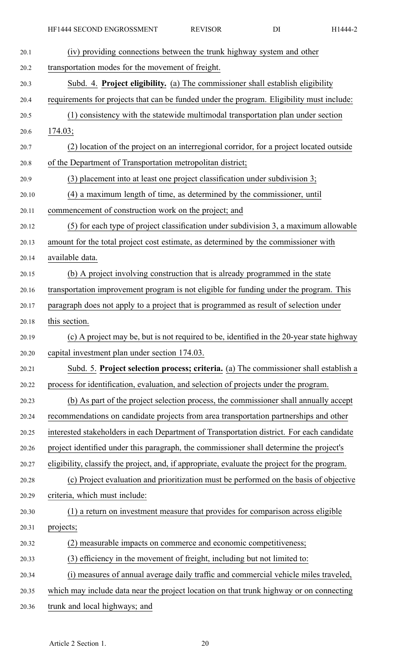| 20.1  | (iv) providing connections between the trunk highway system and other                         |
|-------|-----------------------------------------------------------------------------------------------|
| 20.2  | transportation modes for the movement of freight.                                             |
| 20.3  | Subd. 4. Project eligibility. (a) The commissioner shall establish eligibility                |
| 20.4  | requirements for projects that can be funded under the program. Eligibility must include:     |
| 20.5  | (1) consistency with the statewide multimodal transportation plan under section               |
| 20.6  | 174.03;                                                                                       |
| 20.7  | (2) location of the project on an interregional corridor, for a project located outside       |
| 20.8  | of the Department of Transportation metropolitan district;                                    |
| 20.9  | (3) placement into at least one project classification under subdivision 3;                   |
| 20.10 | (4) a maximum length of time, as determined by the commissioner, until                        |
| 20.11 | commencement of construction work on the project; and                                         |
| 20.12 | (5) for each type of project classification under subdivision 3, a maximum allowable          |
| 20.13 | amount for the total project cost estimate, as determined by the commissioner with            |
| 20.14 | available data.                                                                               |
| 20.15 | (b) A project involving construction that is already programmed in the state                  |
| 20.16 | transportation improvement program is not eligible for funding under the program. This        |
| 20.17 | paragraph does not apply to a project that is programmed as result of selection under         |
| 20.18 | this section.                                                                                 |
| 20.19 | (c) A project may be, but is not required to be, identified in the 20-year state highway      |
| 20.20 | capital investment plan under section 174.03.                                                 |
| 20.21 | Subd. 5. Project selection process; criteria. (a) The commissioner shall establish a          |
| 20.22 | process for identification, evaluation, and selection of projects under the program.          |
| 20.23 | (b) As part of the project selection process, the commissioner shall annually accept          |
| 20.24 | recommendations on candidate projects from area transportation partnerships and other         |
| 20.25 | interested stakeholders in each Department of Transportation district. For each candidate     |
| 20.26 | project identified under this paragraph, the commissioner shall determine the project's       |
| 20.27 | eligibility, classify the project, and, if appropriate, evaluate the project for the program. |
| 20.28 | (c) Project evaluation and prioritization must be performed on the basis of objective         |
| 20.29 | criteria, which must include:                                                                 |
|       |                                                                                               |
| 20.30 | (1) a return on investment measure that provides for comparison across eligible               |
| 20.31 | projects;                                                                                     |
| 20.32 | (2) measurable impacts on commerce and economic competitiveness;                              |
| 20.33 | (3) efficiency in the movement of freight, including but not limited to:                      |
| 20.34 | (i) measures of annual average daily traffic and commercial vehicle miles traveled,           |

20.36 trunk and local highways; and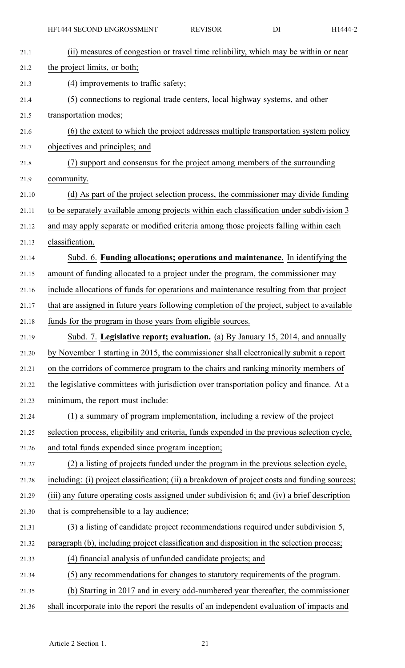| 21.1  | (ii) measures of congestion or travel time reliability, which may be within or near           |
|-------|-----------------------------------------------------------------------------------------------|
| 21.2  | the project limits, or both;                                                                  |
| 21.3  | (4) improvements to traffic safety;                                                           |
| 21.4  | (5) connections to regional trade centers, local highway systems, and other                   |
| 21.5  | transportation modes;                                                                         |
| 21.6  | (6) the extent to which the project addresses multiple transportation system policy           |
| 21.7  | objectives and principles; and                                                                |
| 21.8  | (7) support and consensus for the project among members of the surrounding                    |
| 21.9  | community.                                                                                    |
| 21.10 | (d) As part of the project selection process, the commissioner may divide funding             |
| 21.11 | to be separately available among projects within each classification under subdivision 3      |
| 21.12 | and may apply separate or modified criteria among those projects falling within each          |
| 21.13 | classification.                                                                               |
| 21.14 | Subd. 6. Funding allocations; operations and maintenance. In identifying the                  |
| 21.15 | amount of funding allocated to a project under the program, the commissioner may              |
| 21.16 | include allocations of funds for operations and maintenance resulting from that project       |
| 21.17 | that are assigned in future years following completion of the project, subject to available   |
| 21.18 | funds for the program in those years from eligible sources.                                   |
| 21.19 | Subd. 7. Legislative report; evaluation. (a) By January 15, 2014, and annually                |
| 21.20 | by November 1 starting in 2015, the commissioner shall electronically submit a report         |
| 21.21 | on the corridors of commerce program to the chairs and ranking minority members of            |
| 21.22 | the legislative committees with jurisdiction over transportation policy and finance. At a     |
| 21.23 | minimum, the report must include:                                                             |
| 21.24 | (1) a summary of program implementation, including a review of the project                    |
| 21.25 | selection process, eligibility and criteria, funds expended in the previous selection cycle,  |
| 21.26 | and total funds expended since program inception;                                             |
| 21.27 | (2) a listing of projects funded under the program in the previous selection cycle,           |
| 21.28 | including: (i) project classification; (ii) a breakdown of project costs and funding sources; |
| 21.29 | (iii) any future operating costs assigned under subdivision 6; and (iv) a brief description   |
| 21.30 | that is comprehensible to a lay audience;                                                     |
| 21.31 | (3) a listing of candidate project recommendations required under subdivision 5,              |
| 21.32 | paragraph (b), including project classification and disposition in the selection process;     |
| 21.33 |                                                                                               |
|       | (4) financial analysis of unfunded candidate projects; and                                    |
| 21.34 | (5) any recommendations for changes to statutory requirements of the program.                 |
| 21.35 | (b) Starting in 2017 and in every odd-numbered year thereafter, the commissioner              |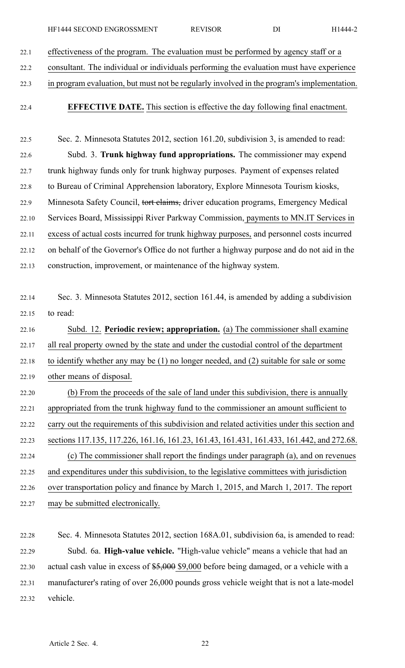22.1 effectiveness of the program. The evaluation must be performed by agency staff or <sup>a</sup>

22.2 consultant. The individual or individuals performing the evaluation must have experience

- 22.3 in program evaluation, but must not be regularly involved in the program's implementation.
- 

22.4 **EFFECTIVE DATE.** This section is effective the day following final enactment.

22.5 Sec. 2. Minnesota Statutes 2012, section 161.20, subdivision 3, is amended to read: 22.6 Subd. 3. **Trunk highway fund appropriations.** The commissioner may expend 22.7 trunk highway funds only for trunk highway purposes. Payment of expenses related 22.8 to Bureau of Criminal Apprehension laboratory, Explore Minnesota Tourism kiosks, 22.9 Minnesota Safety Council, tort claims, driver education programs, Emergency Medical 22.10 Services Board, Mississippi River Parkway Commission, payments to MN.IT Services in 22.11 excess of actual costs incurred for trunk highway purposes, and personnel costs incurred 22.12 on behalf of the Governor's Office do not further <sup>a</sup> highway purpose and do not aid in the 22.13 construction, improvement, or maintenance of the highway system.

22.14 Sec. 3. Minnesota Statutes 2012, section 161.44, is amended by adding <sup>a</sup> subdivision 22.15 to read:

22.16 Subd. 12. **Periodic review; appropriation.** (a) The commissioner shall examine 22.17 all real property owned by the state and under the custodial control of the department 22.18 to identify whether any may be (1) no longer needed, and (2) suitable for sale or some 22.19 other means of disposal. 22.20 (b) From the proceeds of the sale of land under this subdivision, there is annually 22.21 appropriated from the trunk highway fund to the commissioner an amount sufficient to 22.22 carry out the requirements of this subdivision and related activities under this section and

22.23 sections 117.135, 117.226, 161.16, 161.23, 161.43, 161.431, 161.433, 161.442, and 272.68. 22.24 (c) The commissioner shall repor<sup>t</sup> the findings under paragraph (a), and on revenues 22.25 and expenditures under this subdivision, to the legislative committees with jurisdiction 22.26 over transportation policy and finance by March 1, 2015, and March 1, 2017. The repor<sup>t</sup> 22.27 may be submitted electronically.

22.28 Sec. 4. Minnesota Statutes 2012, section 168A.01, subdivision 6a, is amended to read: 22.29 Subd. 6a. **High-value vehicle.** "High-value vehicle" means <sup>a</sup> vehicle that had an 22.30 actual cash value in excess of \$5,000 \$9,000 before being damaged, or <sup>a</sup> vehicle with <sup>a</sup> 22.31 manufacturer's rating of over 26,000 pounds gross vehicle weight that is not <sup>a</sup> late-model 22.32 vehicle.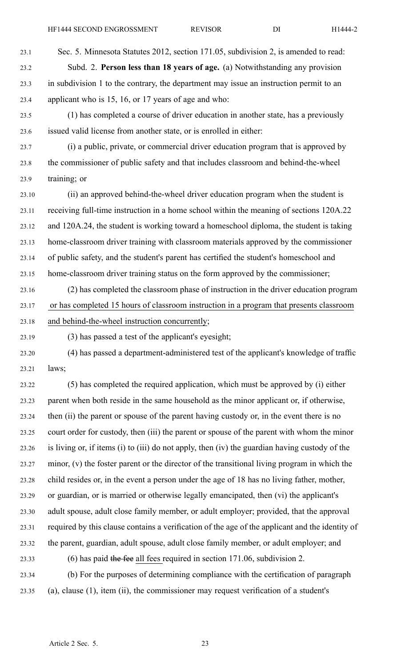23.1 Sec. 5. Minnesota Statutes 2012, section 171.05, subdivision 2, is amended to read: 23.2 Subd. 2. **Person less than 18 years of age.** (a) Notwithstanding any provision 23.3 in subdivision 1 to the contrary, the department may issue an instruction permit to an 23.4 applicant who is 15, 16, or 17 years of age and who:

23.5 (1) has completed <sup>a</sup> course of driver education in another state, has <sup>a</sup> previously 23.6 issued valid license from another state, or is enrolled in either:

23.7 (i) <sup>a</sup> public, private, or commercial driver education program that is approved by 23.8 the commissioner of public safety and that includes classroom and behind-the-wheel 23.9 training; or

23.10 (ii) an approved behind-the-wheel driver education program when the student is 23.11 receiving full-time instruction in <sup>a</sup> home school within the meaning of sections 120A.22 23.12 and 120A.24, the student is working toward <sup>a</sup> homeschool diploma, the student is taking 23.13 home-classroom driver training with classroom materials approved by the commissioner 23.14 of public safety, and the student's paren<sup>t</sup> has certified the student's homeschool and 23.15 home-classroom driver training status on the form approved by the commissioner;

23.16 (2) has completed the classroom phase of instruction in the driver education program 23.17 or has completed 15 hours of classroom instruction in <sup>a</sup> program that presents classroom 23.18 and behind-the-wheel instruction concurrently;

23.19 (3) has passed <sup>a</sup> test of the applicant's eyesight;

23.20 (4) has passed <sup>a</sup> department-administered test of the applicant's knowledge of traffic 23.21 laws;

23.22 (5) has completed the required application, which must be approved by (i) either 23.23 paren<sup>t</sup> when both reside in the same household as the minor applicant or, if otherwise, 23.24 then (ii) the paren<sup>t</sup> or spouse of the paren<sup>t</sup> having custody or, in the event there is no 23.25 court order for custody, then (iii) the paren<sup>t</sup> or spouse of the paren<sup>t</sup> with whom the minor 23.26 is living or, if items (i) to (iii) do not apply, then (iv) the guardian having custody of the 23.27 minor, (v) the foster paren<sup>t</sup> or the director of the transitional living program in which the 23.28 child resides or, in the event <sup>a</sup> person under the age of 18 has no living father, mother, 23.29 or guardian, or is married or otherwise legally emancipated, then (vi) the applicant's 23.30 adult spouse, adult close family member, or adult employer; provided, that the approval 23.31 required by this clause contains <sup>a</sup> verification of the age of the applicant and the identity of 23.32 the parent, guardian, adult spouse, adult close family member, or adult employer; and 23.33 (6) has paid the fee all fees required in section 171.06, subdivision 2.

23.34 (b) For the purposes of determining compliance with the certification of paragraph 23.35 (a), clause (1), item (ii), the commissioner may reques<sup>t</sup> verification of <sup>a</sup> student's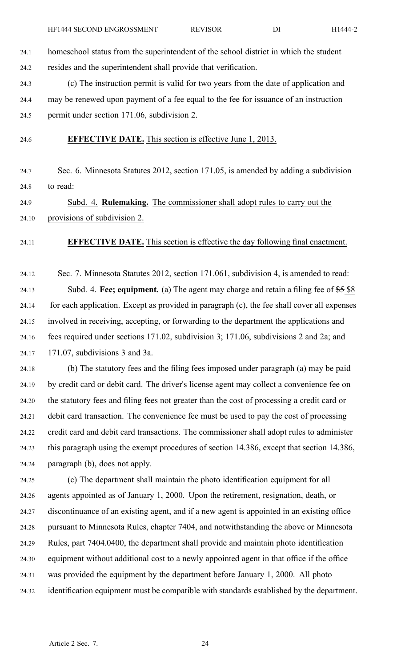24.1 homeschool status from the superintendent of the school district in which the student 24.2 resides and the superintendent shall provide that verification.

24.3 (c) The instruction permit is valid for two years from the date of application and 24.4 may be renewed upon paymen<sup>t</sup> of <sup>a</sup> fee equal to the fee for issuance of an instruction 24.5 permit under section 171.06, subdivision 2.

24.6 **EFFECTIVE DATE.** This section is effective June 1, 2013.

24.7 Sec. 6. Minnesota Statutes 2012, section 171.05, is amended by adding <sup>a</sup> subdivision 24.8 to read:

24.9 Subd. 4. **Rulemaking.** The commissioner shall adopt rules to carry out the 24.10 provisions of subdivision 2.

24.11 **EFFECTIVE DATE.** This section is effective the day following final enactment.

24.12 Sec. 7. Minnesota Statutes 2012, section 171.061, subdivision 4, is amended to read: 24.13 Subd. 4. **Fee; equipment.** (a) The agen<sup>t</sup> may charge and retain <sup>a</sup> filing fee of \$5 \$8 24.14 for each application. Except as provided in paragraph (c), the fee shall cover all expenses 24.15 involved in receiving, accepting, or forwarding to the department the applications and 24.16 fees required under sections 171.02, subdivision 3; 171.06, subdivisions 2 and 2a; and 24.17 171.07, subdivisions 3 and 3a.

24.18 (b) The statutory fees and the filing fees imposed under paragraph (a) may be paid 24.19 by credit card or debit card. The driver's license agen<sup>t</sup> may collect <sup>a</sup> convenience fee on 24.20 the statutory fees and filing fees not greater than the cost of processing <sup>a</sup> credit card or 24.21 debit card transaction. The convenience fee must be used to pay the cost of processing 24.22 credit card and debit card transactions. The commissioner shall adopt rules to administer 24.23 this paragraph using the exemp<sup>t</sup> procedures of section 14.386, excep<sup>t</sup> that section 14.386, 24.24 paragraph (b), does not apply.

24.25 (c) The department shall maintain the photo identification equipment for all 24.26 agents appointed as of January 1, 2000. Upon the retirement, resignation, death, or 24.27 discontinuance of an existing agent, and if <sup>a</sup> new agen<sup>t</sup> is appointed in an existing office 24.28 pursuan<sup>t</sup> to Minnesota Rules, chapter 7404, and notwithstanding the above or Minnesota 24.29 Rules, par<sup>t</sup> 7404.0400, the department shall provide and maintain photo identification 24.30 equipment without additional cost to <sup>a</sup> newly appointed agen<sup>t</sup> in that office if the office 24.31 was provided the equipment by the department before January 1, 2000. All photo 24.32 identification equipment must be compatible with standards established by the department.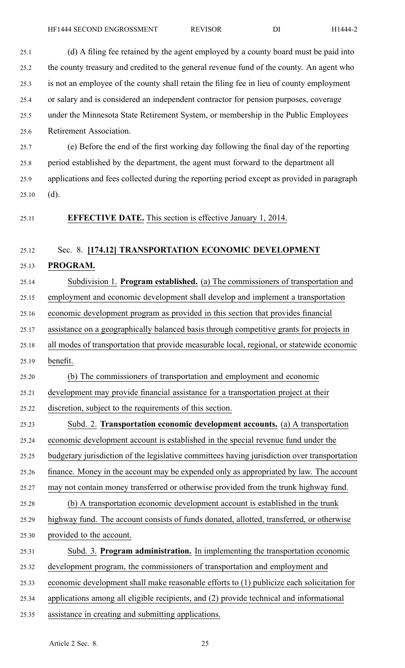25.1 (d) A filing fee retained by the agen<sup>t</sup> employed by <sup>a</sup> county board must be paid into

- 25.2 the county treasury and credited to the general revenue fund of the county. An agen<sup>t</sup> who 25.3 is not an employee of the county shall retain the filing fee in lieu of county employment 25.4 or salary and is considered an independent contractor for pension purposes, coverage 25.5 under the Minnesota State Retirement System, or membership in the Public Employees 25.6 Retirement Association. 25.7 (e) Before the end of the first working day following the final day of the reporting 25.8 period established by the department, the agen<sup>t</sup> must forward to the department all 25.9 applications and fees collected during the reporting period excep<sup>t</sup> as provided in paragraph  $25.10$  (d). 25.11 **EFFECTIVE DATE.** This section is effective January 1, 2014. 25.12 Sec. 8. **[174.12] TRANSPORTATION ECONOMIC DEVELOPMENT** 25.13 **PROGRAM.** 25.14 Subdivision 1. **Program established.** (a) The commissioners of transportation and 25.15 employment and economic development shall develop and implement <sup>a</sup> transportation 25.16 economic development program as provided in this section that provides financial 25.17 assistance on <sup>a</sup> geographically balanced basis through competitive grants for projects in 25.18 all modes of transportation that provide measurable local, regional, or statewide economic 25.19 benefit. 25.20 (b) The commissioners of transportation and employment and economic 25.21 development may provide financial assistance for <sup>a</sup> transportation project at their 25.22 discretion, subject to the requirements of this section. 25.23 Subd. 2. **Transportation economic development accounts.** (a) A transportation 25.24 economic development account is established in the special revenue fund under the 25.25 budgetary jurisdiction of the legislative committees having jurisdiction over transportation 25.26 finance. Money in the account may be expended only as appropriated by law. The account 25.27 may not contain money transferred or otherwise provided from the trunk highway fund. 25.28 (b) A transportation economic development account is established in the trunk 25.29 highway fund. The account consists of funds donated, allotted, transferred, or otherwise 25.30 provided to the account. 25.31 Subd. 3. **Program administration.** In implementing the transportation economic 25.32 development program, the commissioners of transportation and employment and 25.33 economic development shall make reasonable efforts to (1) publicize each solicitation for
- 25.34 applications among all eligible recipients, and (2) provide technical and informational
- 25.35 assistance in creating and submitting applications.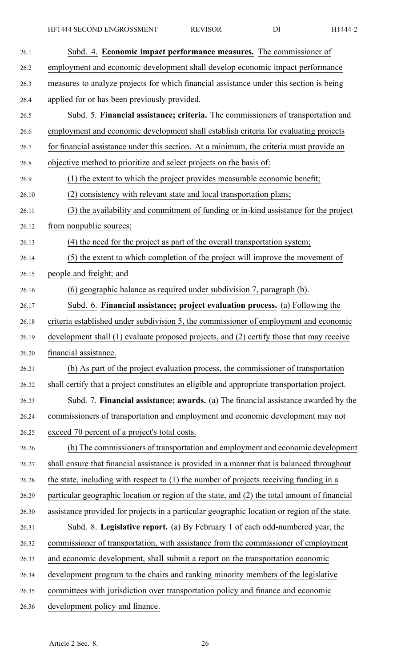| 26.1  | Subd. 4. <b>Economic impact performance measures.</b> The commissioner of                    |
|-------|----------------------------------------------------------------------------------------------|
| 26.2  | employment and economic development shall develop economic impact performance                |
| 26.3  | measures to analyze projects for which financial assistance under this section is being      |
| 26.4  | applied for or has been previously provided.                                                 |
| 26.5  | Subd. 5. Financial assistance; criteria. The commissioners of transportation and             |
| 26.6  | employment and economic development shall establish criteria for evaluating projects         |
| 26.7  | for financial assistance under this section. At a minimum, the criteria must provide an      |
| 26.8  | objective method to prioritize and select projects on the basis of:                          |
| 26.9  | (1) the extent to which the project provides measurable economic benefit;                    |
| 26.10 | (2) consistency with relevant state and local transportation plans;                          |
| 26.11 | (3) the availability and commitment of funding or in-kind assistance for the project         |
| 26.12 | from nonpublic sources;                                                                      |
| 26.13 | (4) the need for the project as part of the overall transportation system;                   |
| 26.14 | (5) the extent to which completion of the project will improve the movement of               |
| 26.15 | people and freight; and                                                                      |
| 26.16 | (6) geographic balance as required under subdivision 7, paragraph (b).                       |
| 26.17 | Subd. 6. Financial assistance; project evaluation process. (a) Following the                 |
| 26.18 | criteria established under subdivision 5, the commissioner of employment and economic        |
| 26.19 | development shall (1) evaluate proposed projects, and (2) certify those that may receive     |
| 26.20 | financial assistance.                                                                        |
| 26.21 | (b) As part of the project evaluation process, the commissioner of transportation            |
| 26.22 | shall certify that a project constitutes an eligible and appropriate transportation project. |
| 26.23 | Subd. 7. Financial assistance; awards. (a) The financial assistance awarded by the           |
| 26.24 | commissioners of transportation and employment and economic development may not              |
| 26.25 | exceed 70 percent of a project's total costs.                                                |
| 26.26 | (b) The commissioners of transportation and employment and economic development              |
| 26.27 | shall ensure that financial assistance is provided in a manner that is balanced throughout   |
| 26.28 | the state, including with respect to $(1)$ the number of projects receiving funding in a     |
| 26.29 | particular geographic location or region of the state, and (2) the total amount of financial |
| 26.30 | assistance provided for projects in a particular geographic location or region of the state. |
| 26.31 | Subd. 8. Legislative report. (a) By February 1 of each odd-numbered year, the                |
| 26.32 | commissioner of transportation, with assistance from the commissioner of employment          |
| 26.33 | and economic development, shall submit a report on the transportation economic               |
| 26.34 | development program to the chairs and ranking minority members of the legislative            |
| 26.35 | committees with jurisdiction over transportation policy and finance and economic             |
| 26.36 | development policy and finance.                                                              |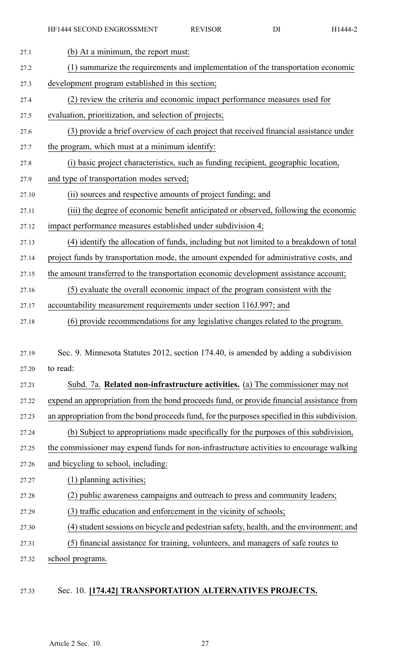| 27.1  | (b) At a minimum, the report must:                                                            |
|-------|-----------------------------------------------------------------------------------------------|
| 27.2  | (1) summarize the requirements and implementation of the transportation economic              |
| 27.3  | development program established in this section;                                              |
| 27.4  | (2) review the criteria and economic impact performance measures used for                     |
| 27.5  | evaluation, prioritization, and selection of projects;                                        |
| 27.6  | (3) provide a brief overview of each project that received financial assistance under         |
| 27.7  | the program, which must at a minimum identify:                                                |
| 27.8  | (i) basic project characteristics, such as funding recipient, geographic location,            |
| 27.9  | and type of transportation modes served;                                                      |
| 27.10 | (ii) sources and respective amounts of project funding; and                                   |
| 27.11 | (iii) the degree of economic benefit anticipated or observed, following the economic          |
| 27.12 | impact performance measures established under subdivision 4;                                  |
| 27.13 | (4) identify the allocation of funds, including but not limited to a breakdown of total       |
| 27.14 | project funds by transportation mode, the amount expended for administrative costs, and       |
| 27.15 | the amount transferred to the transportation economic development assistance account;         |
| 27.16 | (5) evaluate the overall economic impact of the program consistent with the                   |
| 27.17 | accountability measurement requirements under section 116J.997; and                           |
| 27.18 | (6) provide recommendations for any legislative changes related to the program.               |
|       |                                                                                               |
| 27.19 | Sec. 9. Minnesota Statutes 2012, section 174.40, is amended by adding a subdivision           |
| 27.20 | to read:                                                                                      |
| 27.21 | Subd. 7a. Related non-infrastructure activities. (a) The commissioner may not                 |
| 27.22 | expend an appropriation from the bond proceeds fund, or provide financial assistance from     |
| 27.23 | an appropriation from the bond proceeds fund, for the purposes specified in this subdivision. |
| 27.24 | (b) Subject to appropriations made specifically for the purposes of this subdivision,         |
| 27.25 | the commissioner may expend funds for non-infrastructure activities to encourage walking      |
| 27.26 | and bicycling to school, including:                                                           |
| 27.27 | (1) planning activities;                                                                      |
| 27.28 | (2) public awareness campaigns and outreach to press and community leaders;                   |
| 27.29 | (3) traffic education and enforcement in the vicinity of schools;                             |
| 27.30 | (4) student sessions on bicycle and pedestrian safety, health, and the environment; and       |
| 27.31 | (5) financial assistance for training, volunteers, and managers of safe routes to             |
| 27.32 | school programs.                                                                              |
|       |                                                                                               |

## 27.33 Sec. 10. **[174.42] TRANSPORTATION ALTERNATIVES PROJECTS.**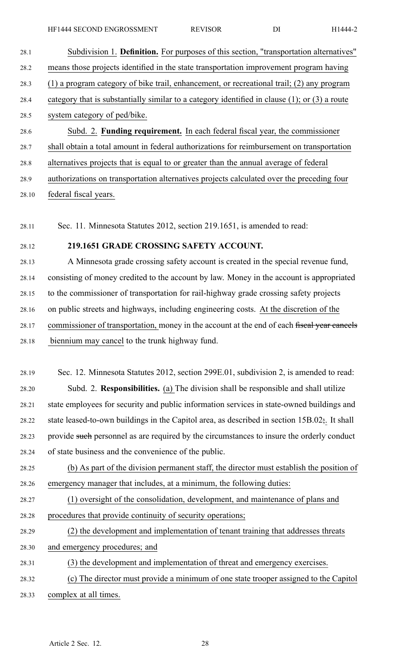- 28.1 Subdivision 1. **Definition.** For purposes of this section, "transportation alternatives" 28.2 means those projects identified in the state transportation improvement program having 28.3 (1) <sup>a</sup> program category of bike trail, enhancement, or recreational trail; (2) any program 28.4 category that is substantially similar to <sup>a</sup> category identified in clause (1); or (3) <sup>a</sup> route 28.5 system category of ped/bike. 28.6 Subd. 2. **Funding requirement.** In each federal fiscal year, the commissioner 28.7 shall obtain <sup>a</sup> total amount in federal authorizations for reimbursement on transportation
- 28.8 alternatives projects that is equal to or greater than the annual average of federal

28.9 authorizations on transportation alternatives projects calculated over the preceding four

28.10 federal fiscal years.

28.11 Sec. 11. Minnesota Statutes 2012, section 219.1651, is amended to read:

## 28.12 **219.1651 GRADE CROSSING SAFETY ACCOUNT.**

28.13 A Minnesota grade crossing safety account is created in the special revenue fund, 28.14 consisting of money credited to the account by law. Money in the account is appropriated 28.15 to the commissioner of transportation for rail-highway grade crossing safety projects 28.16 on public streets and highways, including engineering costs. At the discretion of the 28.17 commissioner of transportation, money in the account at the end of each fiscal year cancels 28.18 biennium may cancel to the trunk highway fund.

28.19 Sec. 12. Minnesota Statutes 2012, section 299E.01, subdivision 2, is amended to read: 28.20 Subd. 2. **Responsibilities.** (a) The division shall be responsible and shall utilize 28.21 state employees for security and public information services in state-owned buildings and 28.22 state leased-to-own buildings in the Capitol area, as described in section  $15B.02$ ;. It shall 28.23 provide such personnel as are required by the circumstances to insure the orderly conduct 28.24 of state business and the convenience of the public.

28.25 (b) As par<sup>t</sup> of the division permanen<sup>t</sup> staff, the director must establish the position of 28.26 emergency manager that includes, at <sup>a</sup> minimum, the following duties:

- 28.27 (1) oversight of the consolidation, development, and maintenance of plans and 28.28 procedures that provide continuity of security operations;
- 28.29 (2) the development and implementation of tenant training that addresses threats
- 28.30 and emergency procedures; and
- 28.31 (3) the development and implementation of threat and emergency exercises.
- 28.32 (c) The director must provide <sup>a</sup> minimum of one state trooper assigned to the Capitol 28.33 complex at all times.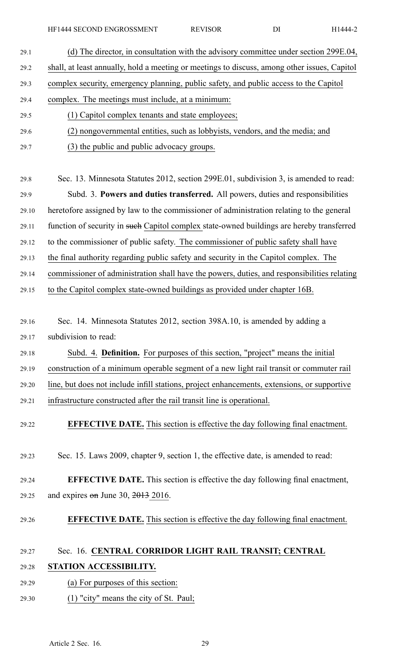HF1444 SECOND ENGROSSMENT REVISOR DI H1444-2

| 29.1  | (d) The director, in consultation with the advisory committee under section 299E.04,         |
|-------|----------------------------------------------------------------------------------------------|
| 29.2  | shall, at least annually, hold a meeting or meetings to discuss, among other issues, Capitol |
| 29.3  | complex security, emergency planning, public safety, and public access to the Capitol        |
| 29.4  | complex. The meetings must include, at a minimum:                                            |
| 29.5  | (1) Capitol complex tenants and state employees;                                             |
| 29.6  | (2) nongovernmental entities, such as lobbyists, vendors, and the media; and                 |
| 29.7  | (3) the public and public advocacy groups.                                                   |
|       |                                                                                              |
| 29.8  | Sec. 13. Minnesota Statutes 2012, section 299E.01, subdivision 3, is amended to read:        |
| 29.9  | Subd. 3. Powers and duties transferred. All powers, duties and responsibilities              |
| 29.10 | heretofore assigned by law to the commissioner of administration relating to the general     |
| 29.11 | function of security in such Capitol complex state-owned buildings are hereby transferred    |
| 29.12 | to the commissioner of public safety. The commissioner of public safety shall have           |
| 29.13 | the final authority regarding public safety and security in the Capitol complex. The         |
| 29.14 | commissioner of administration shall have the powers, duties, and responsibilities relating  |
| 29.15 | to the Capitol complex state-owned buildings as provided under chapter 16B.                  |
|       |                                                                                              |
| 29.16 | Sec. 14. Minnesota Statutes 2012, section 398A.10, is amended by adding a                    |
| 29.17 | subdivision to read:                                                                         |
| 29.18 | Subd. 4. Definition. For purposes of this section, "project" means the initial               |
| 29.19 | construction of a minimum operable segment of a new light rail transit or commuter rail      |
| 29.20 | line, but does not include infill stations, project enhancements, extensions, or supportive  |
| 29.21 | infrastructure constructed after the rail transit line is operational.                       |
| 29.22 | <b>EFFECTIVE DATE.</b> This section is effective the day following final enactment.          |
|       |                                                                                              |
| 29.23 | Sec. 15. Laws 2009, chapter 9, section 1, the effective date, is amended to read:            |
|       |                                                                                              |
| 29.24 | <b>EFFECTIVE DATE.</b> This section is effective the day following final enactment,          |
| 29.25 | and expires $\theta$ m June 30, 2013 2016.                                                   |
| 29.26 | <b>EFFECTIVE DATE.</b> This section is effective the day following final enactment.          |
|       |                                                                                              |
| 29.27 | Sec. 16. CENTRAL CORRIDOR LIGHT RAIL TRANSIT; CENTRAL                                        |
| 29.28 | STATION ACCESSIBILITY.                                                                       |
| 29.29 | (a) For purposes of this section:                                                            |
| 29.30 | (1) "city" means the city of St. Paul;                                                       |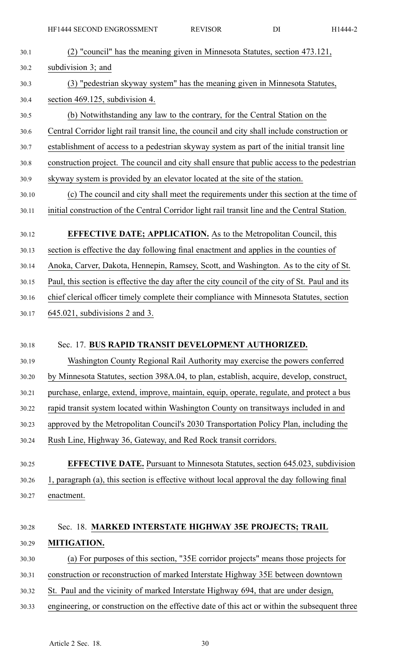| 30.1  | (2) "council" has the meaning given in Minnesota Statutes, section 473.121,                    |
|-------|------------------------------------------------------------------------------------------------|
| 30.2  | subdivision 3; and                                                                             |
| 30.3  | (3) "pedestrian skyway system" has the meaning given in Minnesota Statutes,                    |
| 30.4  | section 469.125, subdivision 4.                                                                |
| 30.5  | (b) Notwithstanding any law to the contrary, for the Central Station on the                    |
| 30.6  | Central Corridor light rail transit line, the council and city shall include construction or   |
| 30.7  | establishment of access to a pedestrian skyway system as part of the initial transit line      |
| 30.8  | construction project. The council and city shall ensure that public access to the pedestrian   |
| 30.9  | skyway system is provided by an elevator located at the site of the station.                   |
| 30.10 | (c) The council and city shall meet the requirements under this section at the time of         |
| 30.11 | initial construction of the Central Corridor light rail transit line and the Central Station.  |
| 30.12 | <b>EFFECTIVE DATE; APPLICATION.</b> As to the Metropolitan Council, this                       |
| 30.13 | section is effective the day following final enactment and applies in the counties of          |
| 30.14 | Anoka, Carver, Dakota, Hennepin, Ramsey, Scott, and Washington. As to the city of St.          |
| 30.15 | Paul, this section is effective the day after the city council of the city of St. Paul and its |
| 30.16 | chief clerical officer timely complete their compliance with Minnesota Statutes, section       |
| 30.17 | $645.021$ , subdivisions 2 and 3.                                                              |
|       |                                                                                                |
| 30.18 | Sec. 17. BUS RAPID TRANSIT DEVELOPMENT AUTHORIZED.                                             |
| 30.19 | Washington County Regional Rail Authority may exercise the powers conferred                    |
| 30.20 | by Minnesota Statutes, section 398A.04, to plan, establish, acquire, develop, construct,       |
| 30.21 | purchase, enlarge, extend, improve, maintain, equip, operate, regulate, and protect a bus      |
| 30.22 | rapid transit system located within Washington County on transitways included in and           |
| 30.23 | approved by the Metropolitan Council's 2030 Transportation Policy Plan, including the          |
| 30.24 | Rush Line, Highway 36, Gateway, and Red Rock transit corridors.                                |
| 30.25 | <b>EFFECTIVE DATE.</b> Pursuant to Minnesota Statutes, section 645.023, subdivision            |
| 30.26 | 1, paragraph (a), this section is effective without local approval the day following final     |
|       | enactment.                                                                                     |
| 30.27 |                                                                                                |
| 30.28 | Sec. 18. MARKED INTERSTATE HIGHWAY 35E PROJECTS; TRAIL                                         |
| 30.29 | MITIGATION.                                                                                    |
| 30.30 | (a) For purposes of this section, "35E corridor projects" means those projects for             |
| 30.31 | construction or reconstruction of marked Interstate Highway 35E between downtown               |
| 30.32 | St. Paul and the vicinity of marked Interstate Highway 694, that are under design,             |
| 30.33 | engineering, or construction on the effective date of this act or within the subsequent three  |
|       |                                                                                                |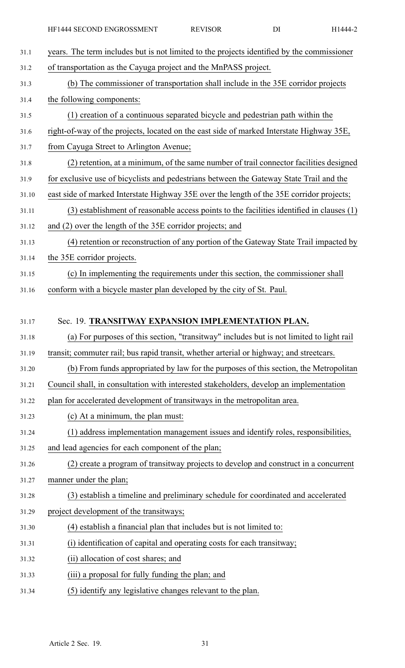| 31.1  | years. The term includes but is not limited to the projects identified by the commissioner |
|-------|--------------------------------------------------------------------------------------------|
| 31.2  | of transportation as the Cayuga project and the MnPASS project.                            |
| 31.3  | (b) The commissioner of transportation shall include in the 35E corridor projects          |
| 31.4  | the following components:                                                                  |
| 31.5  | (1) creation of a continuous separated bicycle and pedestrian path within the              |
| 31.6  | right-of-way of the projects, located on the east side of marked Interstate Highway 35E,   |
| 31.7  | from Cayuga Street to Arlington Avenue;                                                    |
| 31.8  | (2) retention, at a minimum, of the same number of trail connector facilities designed     |
| 31.9  | for exclusive use of bicyclists and pedestrians between the Gateway State Trail and the    |
| 31.10 | east side of marked Interstate Highway 35E over the length of the 35E corridor projects;   |
| 31.11 | (3) establishment of reasonable access points to the facilities identified in clauses (1)  |
| 31.12 | and (2) over the length of the 35E corridor projects; and                                  |
| 31.13 | (4) retention or reconstruction of any portion of the Gateway State Trail impacted by      |
| 31.14 | the 35E corridor projects.                                                                 |
| 31.15 | (c) In implementing the requirements under this section, the commissioner shall            |
| 31.16 | conform with a bicycle master plan developed by the city of St. Paul.                      |
|       |                                                                                            |
| 31.17 | Sec. 19. TRANSITWAY EXPANSION IMPLEMENTATION PLAN.                                         |
| 31.18 | (a) For purposes of this section, "transitway" includes but is not limited to light rail   |
| 31.19 | transit; commuter rail; bus rapid transit, whether arterial or highway; and streetcars.    |
| 31.20 | (b) From funds appropriated by law for the purposes of this section, the Metropolitan      |
| 31.21 | Council shall, in consultation with interested stakeholders, develop an implementation     |
| 31.22 | plan for accelerated development of transitways in the metropolitan area.                  |
| 31.23 | (c) At a minimum, the plan must:                                                           |
| 31.24 | (1) address implementation management issues and identify roles, responsibilities,         |
| 31.25 | and lead agencies for each component of the plan;                                          |
| 31.26 | (2) create a program of transitway projects to develop and construct in a concurrent       |
| 31.27 | manner under the plan;                                                                     |
| 31.28 | (3) establish a timeline and preliminary schedule for coordinated and accelerated          |
| 31.29 | project development of the transitways;                                                    |
| 31.30 | (4) establish a financial plan that includes but is not limited to:                        |
| 31.31 | (i) identification of capital and operating costs for each transitway;                     |
| 31.32 | (ii) allocation of cost shares; and                                                        |

- 31.33 (iii) <sup>a</sup> proposal for fully funding the plan; and
- 31.34 (5) identify any legislative changes relevant to the plan.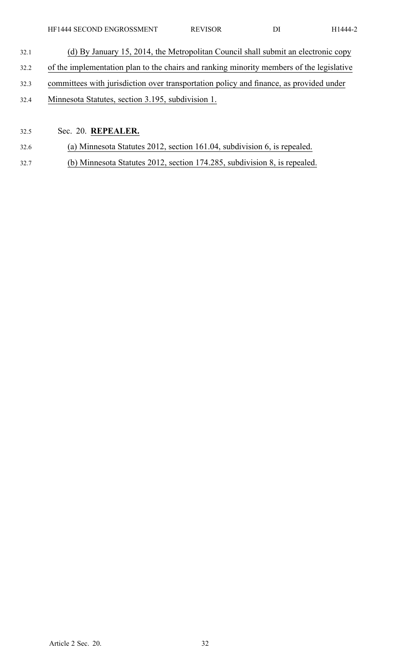- 32.1 (d) By January 15, 2014, the Metropolitan Council shall submit an electronic copy 32.2 of the implementation plan to the chairs and ranking minority members of the legislative 32.3 committees with jurisdiction over transportation policy and finance, as provided under
- 32.4 Minnesota Statutes, section 3.195, subdivision 1.

## 32.5 Sec. 20. **REPEALER.**

- 32.6 (a) Minnesota Statutes 2012, section 161.04, subdivision 6, is repealed.
- 32.7 (b) Minnesota Statutes 2012, section 174.285, subdivision 8, is repealed.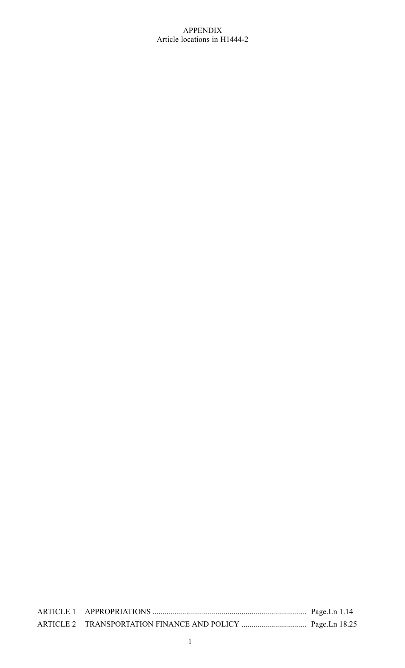## APPENDIX Article locations in H1444-2